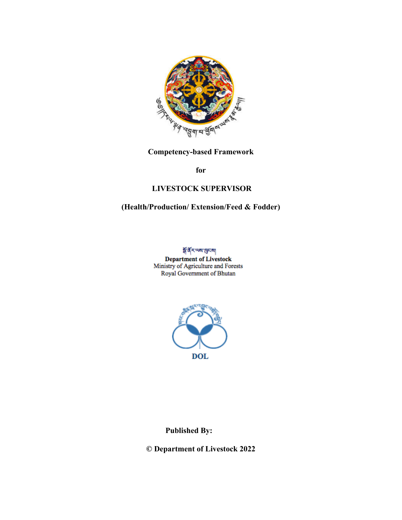

**Competency-based Framework** 

**for**

### **LIVESTOCK SUPERVISOR**

### **(Health/Production/ Extension/Feed & Fodder)**

**अँ वें रायणा सुमया** 

**Department of Livestock**<br>Ministry of Agriculture and Forests Royal Government of Bhutan



**Published By:**

**© Department of Livestock 2022**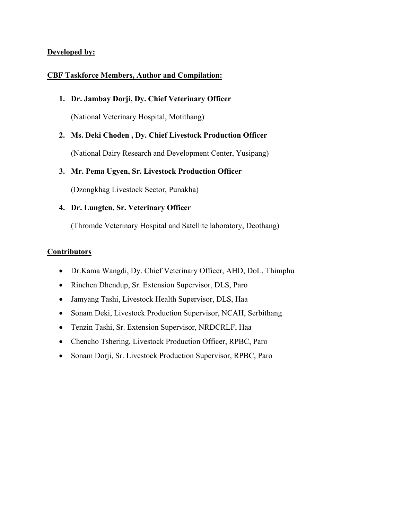#### **Developed by:**

#### **CBF Taskforce Members, Author and Compilation:**

**1. Dr. Jambay Dorji, Dy. Chief Veterinary Officer**

(National Veterinary Hospital, Motithang)

**2. Ms. Deki Choden , Dy. Chief Livestock Production Officer**

(National Dairy Research and Development Center, Yusipang)

#### **3. Mr. Pema Ugyen, Sr. Livestock Production Officer**

(Dzongkhag Livestock Sector, Punakha)

#### **4. Dr. Lungten, Sr. Veterinary Officer**

(Thromde Veterinary Hospital and Satellite laboratory, Deothang)

#### **Contributors**

- Dr.Kama Wangdi, Dy. Chief Veterinary Officer, AHD, DoL, Thimphu
- Rinchen Dhendup, Sr. Extension Supervisor, DLS, Paro
- Jamyang Tashi, Livestock Health Supervisor, DLS, Haa
- Sonam Deki, Livestock Production Supervisor, NCAH, Serbithang
- Tenzin Tashi, Sr. Extension Supervisor, NRDCRLF, Haa
- Chencho Tshering, Livestock Production Officer, RPBC, Paro
- Sonam Dorji, Sr. Livestock Production Supervisor, RPBC, Paro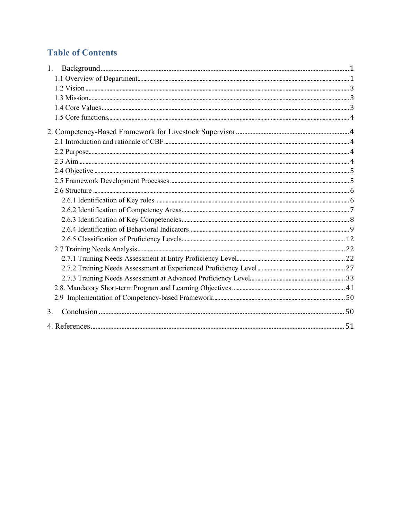### **Table of Contents**

| 1. |  |
|----|--|
|    |  |
|    |  |
|    |  |
|    |  |
|    |  |
|    |  |
|    |  |
|    |  |
|    |  |
|    |  |
|    |  |
|    |  |
|    |  |
|    |  |
|    |  |
|    |  |
|    |  |
|    |  |
|    |  |
|    |  |
|    |  |
|    |  |
|    |  |
| 3. |  |
|    |  |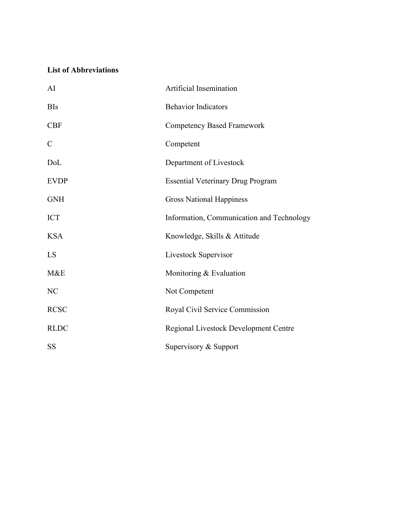### **List of Abbreviations**

| AI             | Artificial Insemination                   |  |
|----------------|-------------------------------------------|--|
| <b>BIs</b>     | <b>Behavior Indicators</b>                |  |
| CBF            | <b>Competency Based Framework</b>         |  |
| $\mathcal{C}$  | Competent                                 |  |
| DoL            | Department of Livestock                   |  |
| <b>EVDP</b>    | <b>Essential Veterinary Drug Program</b>  |  |
| <b>GNH</b>     | <b>Gross National Happiness</b>           |  |
| <b>ICT</b>     | Information, Communication and Technology |  |
| <b>KSA</b>     | Knowledge, Skills & Attitude              |  |
| LS             | Livestock Supervisor                      |  |
| M&E            | Monitoring & Evaluation                   |  |
| N <sub>C</sub> | Not Competent                             |  |
| <b>RCSC</b>    | Royal Civil Service Commission            |  |
| <b>RLDC</b>    | Regional Livestock Development Centre     |  |
| <b>SS</b>      | Supervisory & Support                     |  |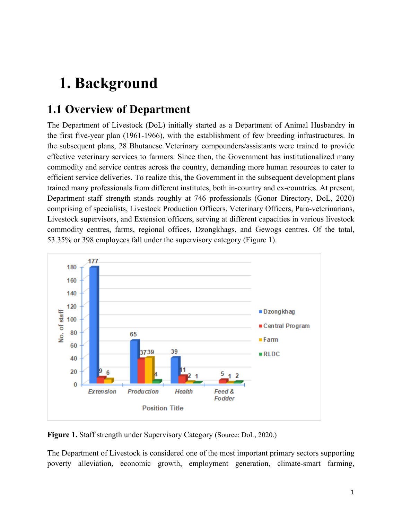# **1. Background**

## **1.1 Overview of Department**

The Department of Livestock (DoL) initially started as a Department of Animal Husbandry in the first five-year plan (1961-1966), with the establishment of few breeding infrastructures. In the subsequent plans, 28 Bhutanese Veterinary compounders/assistants were trained to provide effective veterinary services to farmers. Since then, the Government has institutionalized many commodity and service centres across the country, demanding more human resources to cater to efficient service deliveries. To realize this, the Government in the subsequent development plans trained many professionals from different institutes, both in-country and ex-countries. At present, Department staff strength stands roughly at 746 professionals (Gonor Directory, DoL, 2020) comprising of specialists, Livestock Production Officers, Veterinary Officers, Para-veterinarians, Livestock supervisors, and Extension officers, serving at different capacities in various livestock commodity centres, farms, regional offices, Dzongkhags, and Gewogs centres. Of the total, 53.35% or 398 employees fall under the supervisory category (Figure 1).



**Figure 1.** Staff strength under Supervisory Category (Source: DoL, 2020.)

The Department of Livestock is considered one of the most important primary sectors supporting poverty alleviation, economic growth, employment generation, climate-smart farming,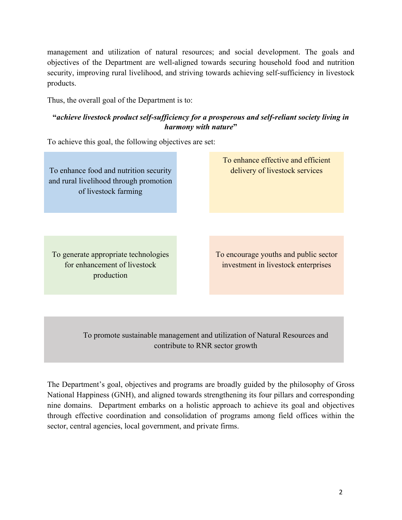management and utilization of natural resources; and social development. The goals and objectives of the Department are well-aligned towards securing household food and nutrition security, improving rural livelihood, and striving towards achieving self-sufficiency in livestock products.

Thus, the overall goal of the Department is to:

### **"***achieve livestock product self-sufficiency for a prosperous and self-reliant society living in harmony with nature***"**

To achieve this goal, the following objectives are set:

To enhance food and nutrition security and rural livelihood through promotion of livestock farming

To enhance effective and efficient delivery of livestock services

To generate appropriate technologies for enhancement of livestock production

To encourage youths and public sector investment in livestock enterprises

To promote sustainable management and utilization of Natural Resources and contribute to RNR sector growth

The Department's goal, objectives and programs are broadly guided by the philosophy of Gross National Happiness (GNH), and aligned towards strengthening its four pillars and corresponding nine domains. Department embarks on a holistic approach to achieve its goal and objectives through effective coordination and consolidation of programs among field offices within the sector, central agencies, local government, and private firms.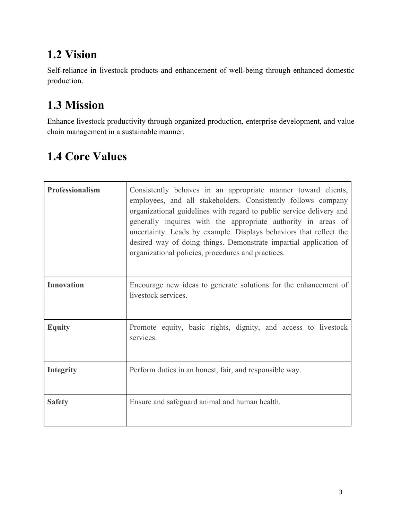## **1.2 Vision**

Self-reliance in livestock products and enhancement of well-being through enhanced domestic production.

## **1.3 Mission**

Enhance livestock productivity through organized production, enterprise development, and value chain management in a sustainable manner.

## **1.4 Core Values**

| Professionalism   | Consistently behaves in an appropriate manner toward clients,<br>employees, and all stakeholders. Consistently follows company<br>organizational guidelines with regard to public service delivery and<br>generally inquires with the appropriate authority in areas of<br>uncertainty. Leads by example. Displays behaviors that reflect the<br>desired way of doing things. Demonstrate impartial application of<br>organizational policies, procedures and practices. |
|-------------------|--------------------------------------------------------------------------------------------------------------------------------------------------------------------------------------------------------------------------------------------------------------------------------------------------------------------------------------------------------------------------------------------------------------------------------------------------------------------------|
| <b>Innovation</b> | Encourage new ideas to generate solutions for the enhancement of<br>livestock services.                                                                                                                                                                                                                                                                                                                                                                                  |
| <b>Equity</b>     | Promote equity, basic rights, dignity, and access to livestock<br>services.                                                                                                                                                                                                                                                                                                                                                                                              |
| <b>Integrity</b>  | Perform duties in an honest, fair, and responsible way.                                                                                                                                                                                                                                                                                                                                                                                                                  |
| <b>Safety</b>     | Ensure and safeguard animal and human health.                                                                                                                                                                                                                                                                                                                                                                                                                            |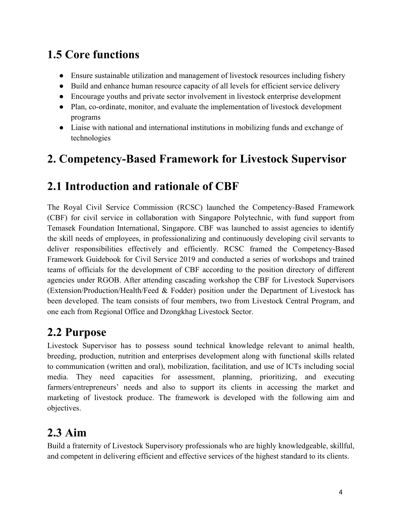## **1.5 Core functions**

- Ensure sustainable utilization and management of livestock resources including fishery
- Build and enhance human resource capacity of all levels for efficient service delivery
- Encourage youths and private sector involvement in livestock enterprise development
- Plan, co-ordinate, monitor, and evaluate the implementation of livestock development programs
- Liaise with national and international institutions in mobilizing funds and exchange of technologies

## **2. Competency-Based Framework for Livestock Supervisor**

## **2.1 Introduction and rationale of CBF**

The Royal Civil Service Commission (RCSC) launched the Competency-Based Framework (CBF) for civil service in collaboration with Singapore Polytechnic, with fund support from Temasek Foundation International, Singapore. CBF was launched to assist agencies to identify the skill needs of employees, in professionalizing and continuously developing civil servants to deliver responsibilities effectively and efficiently. RCSC framed the Competency-Based Framework Guidebook for Civil Service 2019 and conducted a series of workshops and trained teams of officials for the development of CBF according to the position directory of different agencies under RGOB. After attending cascading workshop the CBF for Livestock Supervisors (Extension/Production/Health/Feed & Fodder) position under the Department of Livestock has been developed. The team consists of four members, two from Livestock Central Program, and one each from Regional Office and Dzongkhag Livestock Sector.

## **2.2 Purpose**

Livestock Supervisor has to possess sound technical knowledge relevant to animal health, breeding, production, nutrition and enterprises development along with functional skills related to communication (written and oral), mobilization, facilitation, and use of ICTs including social media. They need capacities for assessment, planning, prioritizing, and executing farmers/entrepreneurs' needs and also to support its clients in accessing the market and marketing of livestock produce. The framework is developed with the following aim and objectives.

## **2.3 Aim**

Build a fraternity of Livestock Supervisory professionals who are highly knowledgeable, skillful, and competent in delivering efficient and effective services of the highest standard to its clients.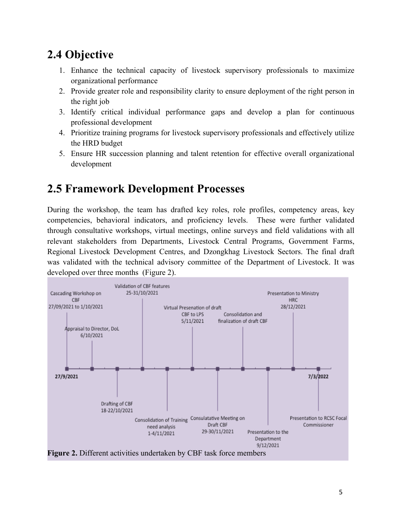## **2.4 Objective**

- 1. Enhance the technical capacity of livestock supervisory professionals to maximize organizational performance
- 2. Provide greater role and responsibility clarity to ensure deployment of the right person in the right job
- 3. Identify critical individual performance gaps and develop a plan for continuous professional development
- 4. Prioritize training programs for livestock supervisory professionals and effectively utilize the HRD budget
- 5. Ensure HR succession planning and talent retention for effective overall organizational development

### **2.5 Framework Development Processes**

During the workshop, the team has drafted key roles, role profiles, competency areas, key competencies, behavioral indicators, and proficiency levels. These were further validated through consultative workshops, virtual meetings, online surveys and field validations with all relevant stakeholders from Departments, Livestock Central Programs, Government Farms, Regional Livestock Development Centres, and Dzongkhag Livestock Sectors. The final draft was validated with the technical advisory committee of the Department of Livestock. It was developed over three months (Figure 2).



5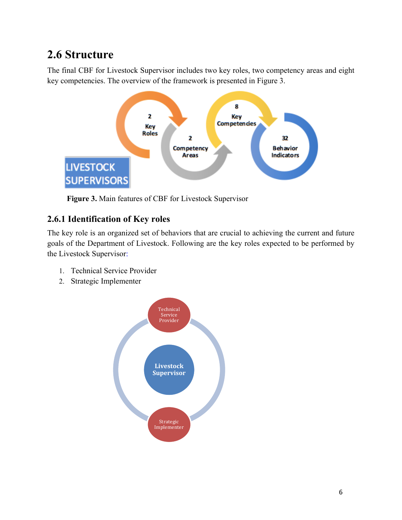## **2.6 Structure**

The final CBF for Livestock Supervisor includes two key roles, two competency areas and eight key competencies. The overview of the framework is presented in Figure 3.



**Figure 3.** Main features of CBF for Livestock Supervisor

### **2.6.1 Identification of Key roles**

The key role is an organized set of behaviors that are crucial to achieving the current and future goals of the Department of Livestock. Following are the key roles expected to be performed by the Livestock Supervisor:

- 1. Technical Service Provider
- 2. Strategic Implementer

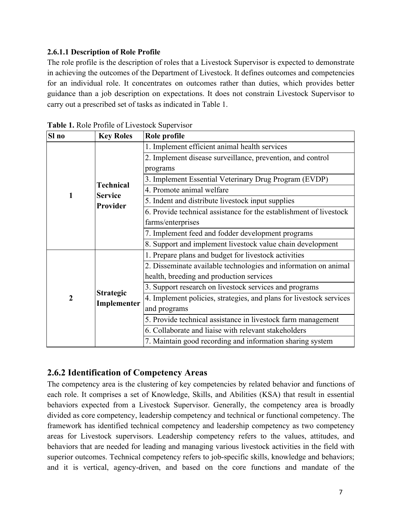### **2.6.1.1 Description of Role Profile**

The role profile is the description of roles that a Livestock Supervisor is expected to demonstrate in achieving the outcomes of the Department of Livestock. It defines outcomes and competencies for an individual role. It concentrates on outcomes rather than duties, which provides better guidance than a job description on expectations. It does not constrain Livestock Supervisor to carry out a prescribed set of tasks as indicated in Table 1.

| Sl no            | <b>Key Roles</b>                              | Role profile                                                        |  |  |
|------------------|-----------------------------------------------|---------------------------------------------------------------------|--|--|
|                  | 1. Implement efficient animal health services |                                                                     |  |  |
|                  |                                               | 2. Implement disease surveillance, prevention, and control          |  |  |
|                  |                                               | programs                                                            |  |  |
|                  | <b>Technical</b>                              | 3. Implement Essential Veterinary Drug Program (EVDP)               |  |  |
| 1                | <b>Service</b>                                | 4. Promote animal welfare                                           |  |  |
|                  | <b>Provider</b>                               | 5. Indent and distribute livestock input supplies                   |  |  |
|                  |                                               | 6. Provide technical assistance for the establishment of livestock  |  |  |
|                  |                                               | farms/enterprises                                                   |  |  |
|                  |                                               | 7. Implement feed and fodder development programs                   |  |  |
|                  |                                               | 8. Support and implement livestock value chain development          |  |  |
|                  |                                               | 1. Prepare plans and budget for livestock activities                |  |  |
|                  |                                               | 2. Disseminate available technologies and information on animal     |  |  |
|                  |                                               | health, breeding and production services                            |  |  |
|                  |                                               | 3. Support research on livestock services and programs              |  |  |
| $\boldsymbol{2}$ | <b>Strategic</b>                              | 4. Implement policies, strategies, and plans for livestock services |  |  |
|                  | Implementer                                   | and programs                                                        |  |  |
|                  |                                               | 5. Provide technical assistance in livestock farm management        |  |  |
|                  |                                               | 6. Collaborate and liaise with relevant stakeholders                |  |  |
|                  |                                               | 7. Maintain good recording and information sharing system           |  |  |

**Table 1.** Role Profile of Livestock Supervisor

### **2.6.2 Identification of Competency Areas**

The competency area is the clustering of key competencies by related behavior and functions of each role. It comprises a set of Knowledge, Skills, and Abilities (KSA) that result in essential behaviors expected from a Livestock Supervisor. Generally, the competency area is broadly divided as core competency, leadership competency and technical or functional competency. The framework has identified technical competency and leadership competency as two competency areas for Livestock supervisors. Leadership competency refers to the values, attitudes, and behaviors that are needed for leading and managing various livestock activities in the field with superior outcomes. Technical competency refers to job-specific skills, knowledge and behaviors; and it is vertical, agency-driven, and based on the core functions and mandate of the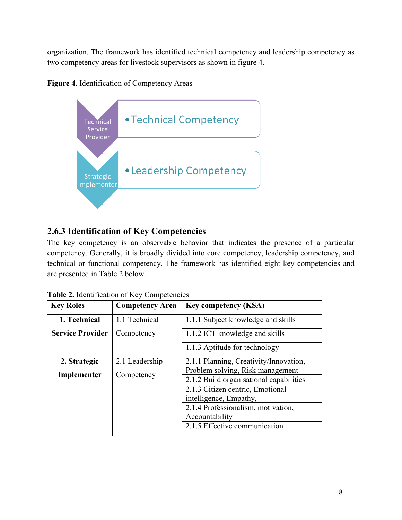organization. The framework has identified technical competency and leadership competency as two competency areas for livestock supervisors as shown in figure 4.





### **2.6.3 Identification of Key Competencies**

The key competency is an observable behavior that indicates the presence of a particular competency. Generally, it is broadly divided into core competency, leadership competency, and technical or functional competency. The framework has identified eight key competencies and are presented in Table 2 below.

| <b>Key Roles</b>        | <b>Competency Area</b> | <b>Key competency (KSA)</b>             |
|-------------------------|------------------------|-----------------------------------------|
| 1. Technical            | 1.1 Technical          | 1.1.1 Subject knowledge and skills      |
| <b>Service Provider</b> | Competency             | 1.1.2 ICT knowledge and skills          |
|                         |                        | 1.1.3 Aptitude for technology           |
| 2. Strategic            | 2.1 Leadership         | 2.1.1 Planning, Creativity/Innovation,  |
| Implementer             | Competency             | Problem solving, Risk management        |
|                         |                        | 2.1.2 Build organisational capabilities |
|                         |                        | 2.1.3 Citizen centric, Emotional        |
|                         |                        | intelligence, Empathy,                  |
|                         |                        | 2.1.4 Professionalism, motivation,      |
|                         |                        | Accountability                          |
|                         |                        | 2.1.5 Effective communication           |

| Table 2. Identification of Key Competencies |  |
|---------------------------------------------|--|
|---------------------------------------------|--|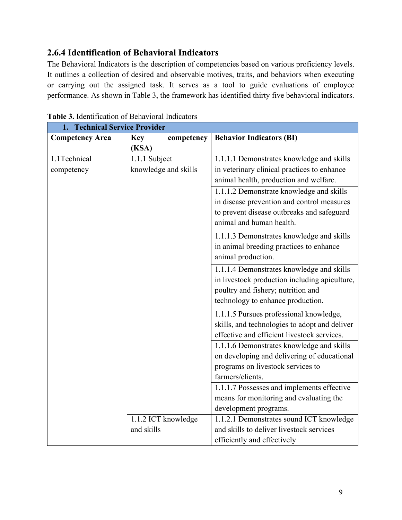### **2.6.4 Identification of Behavioral Indicators**

The Behavioral Indicators is the description of competencies based on various proficiency levels. It outlines a collection of desired and observable motives, traits, and behaviors when executing or carrying out the assigned task. It serves as a tool to guide evaluations of employee performance. As shown in Table 3, the framework has identified thirty five behavioral indicators.

| <b>Technical Service Provider</b> |                          |                                               |
|-----------------------------------|--------------------------|-----------------------------------------------|
| <b>Competency Area</b>            | <b>Key</b><br>competency | <b>Behavior Indicators (BI)</b>               |
|                                   | (KSA)                    |                                               |
| 1.1Technical                      | 1.1.1 Subject            | 1.1.1.1 Demonstrates knowledge and skills     |
| competency                        | knowledge and skills     | in veterinary clinical practices to enhance   |
|                                   |                          | animal health, production and welfare.        |
|                                   |                          | 1.1.1.2 Demonstrate knowledge and skills      |
|                                   |                          | in disease prevention and control measures    |
|                                   |                          | to prevent disease outbreaks and safeguard    |
|                                   |                          | animal and human health.                      |
|                                   |                          | 1.1.1.3 Demonstrates knowledge and skills     |
|                                   |                          | in animal breeding practices to enhance       |
|                                   |                          | animal production.                            |
|                                   |                          | 1.1.1.4 Demonstrates knowledge and skills     |
|                                   |                          | in livestock production including apiculture, |
|                                   |                          | poultry and fishery; nutrition and            |
|                                   |                          | technology to enhance production.             |
|                                   |                          | 1.1.1.5 Pursues professional knowledge,       |
|                                   |                          | skills, and technologies to adopt and deliver |
|                                   |                          | effective and efficient livestock services.   |
|                                   |                          | 1.1.1.6 Demonstrates knowledge and skills     |
|                                   |                          | on developing and delivering of educational   |
|                                   |                          | programs on livestock services to             |
|                                   |                          | farmers/clients.                              |
|                                   |                          | 1.1.1.7 Possesses and implements effective    |
|                                   |                          | means for monitoring and evaluating the       |
|                                   |                          | development programs.                         |
|                                   | 1.1.2 ICT knowledge      | 1.1.2.1 Demonstrates sound ICT knowledge      |
|                                   | and skills               | and skills to deliver livestock services      |
|                                   |                          | efficiently and effectively                   |

**Table 3.** Identification of Behavioral Indicators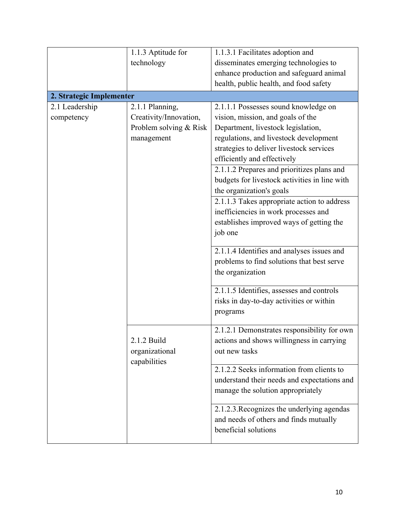|                          | 1.1.3 Aptitude for     | 1.1.3.1 Facilitates adoption and              |
|--------------------------|------------------------|-----------------------------------------------|
|                          | technology             | disseminates emerging technologies to         |
|                          |                        | enhance production and safeguard animal       |
|                          |                        | health, public health, and food safety        |
| 2. Strategic Implementer |                        |                                               |
| 2.1 Leadership           | 2.1.1 Planning,        | 2.1.1.1 Possesses sound knowledge on          |
| competency               | Creativity/Innovation, | vision, mission, and goals of the             |
|                          | Problem solving & Risk | Department, livestock legislation,            |
|                          | management             | regulations, and livestock development        |
|                          |                        | strategies to deliver livestock services      |
|                          |                        | efficiently and effectively                   |
|                          |                        | 2.1.1.2 Prepares and prioritizes plans and    |
|                          |                        | budgets for livestock activities in line with |
|                          |                        | the organization's goals                      |
|                          |                        | 2.1.1.3 Takes appropriate action to address   |
|                          |                        | inefficiencies in work processes and          |
|                          |                        | establishes improved ways of getting the      |
|                          |                        | job one                                       |
|                          |                        |                                               |
|                          |                        | 2.1.1.4 Identifies and analyses issues and    |
|                          |                        | problems to find solutions that best serve    |
|                          |                        | the organization                              |
|                          |                        |                                               |
|                          |                        | 2.1.1.5 Identifies, assesses and controls     |
|                          |                        | risks in day-to-day activities or within      |
|                          |                        | programs                                      |
|                          |                        | 2.1.2.1 Demonstrates responsibility for own   |
|                          | 2.1.2 Build            | actions and shows willingness in carrying     |
|                          | organizational         | out new tasks                                 |
|                          | capabilities           |                                               |
|                          |                        | 2.1.2.2 Seeks information from clients to     |
|                          |                        | understand their needs and expectations and   |
|                          |                        | manage the solution appropriately             |
|                          |                        |                                               |
|                          |                        | 2.1.2.3. Recognizes the underlying agendas    |
|                          |                        | and needs of others and finds mutually        |
|                          |                        | beneficial solutions                          |
|                          |                        |                                               |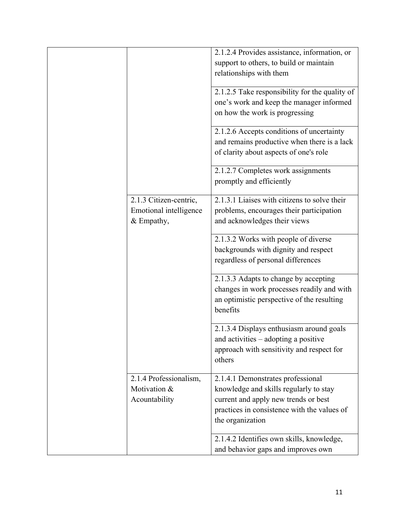|  |                                                                                                                    | 2.1.2.4 Provides assistance, information, or<br>support to others, to build or maintain<br>relationships with them                                                                     |
|--|--------------------------------------------------------------------------------------------------------------------|----------------------------------------------------------------------------------------------------------------------------------------------------------------------------------------|
|  |                                                                                                                    | 2.1.2.5 Take responsibility for the quality of<br>one's work and keep the manager informed<br>on how the work is progressing                                                           |
|  |                                                                                                                    | 2.1.2.6 Accepts conditions of uncertainty<br>and remains productive when there is a lack<br>of clarity about aspects of one's role                                                     |
|  |                                                                                                                    | 2.1.2.7 Completes work assignments<br>promptly and efficiently                                                                                                                         |
|  | 2.1.3 Citizen-centric,<br>Emotional intelligence<br>& Empathy,                                                     | 2.1.3.1 Liaises with citizens to solve their<br>problems, encourages their participation<br>and acknowledges their views                                                               |
|  | 2.1.3.2 Works with people of diverse<br>backgrounds with dignity and respect<br>regardless of personal differences |                                                                                                                                                                                        |
|  |                                                                                                                    | 2.1.3.3 Adapts to change by accepting<br>changes in work processes readily and with<br>an optimistic perspective of the resulting<br>benefits                                          |
|  |                                                                                                                    | 2.1.3.4 Displays enthusiasm around goals<br>and activities $-$ adopting a positive<br>approach with sensitivity and respect for<br>others                                              |
|  | 2.1.4 Professionalism,<br>Motivation &<br>Acountability                                                            | 2.1.4.1 Demonstrates professional<br>knowledge and skills regularly to stay<br>current and apply new trends or best<br>practices in consistence with the values of<br>the organization |
|  |                                                                                                                    | 2.1.4.2 Identifies own skills, knowledge,<br>and behavior gaps and improves own                                                                                                        |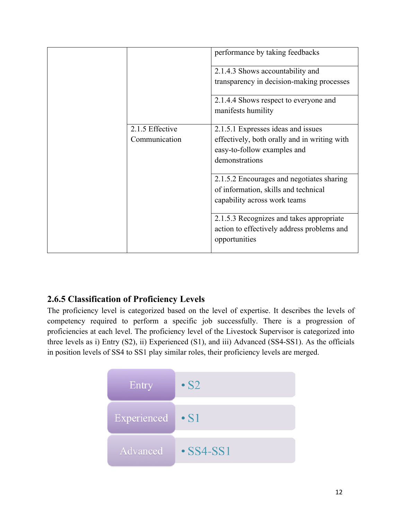|                 | performance by taking feedbacks              |
|-----------------|----------------------------------------------|
|                 | 2.1.4.3 Shows accountability and             |
|                 | transparency in decision-making processes    |
|                 | 2.1.4.4 Shows respect to everyone and        |
|                 | manifests humility                           |
| 2.1.5 Effective | 2.1.5.1 Expresses ideas and issues           |
| Communication   | effectively, both orally and in writing with |
|                 | easy-to-follow examples and                  |
|                 | demonstrations                               |
|                 | 2.1.5.2 Encourages and negotiates sharing    |
|                 | of information, skills and technical         |
|                 | capability across work teams                 |
|                 | 2.1.5.3 Recognizes and takes appropriate     |
|                 | action to effectively address problems and   |
|                 | opportunities                                |

### **2.6.5 Classification of Proficiency Levels**

The proficiency level is categorized based on the level of expertise. It describes the levels of competency required to perform a specific job successfully. There is a progression of proficiencies at each level. The proficiency level of the Livestock Supervisor is categorized into three levels as i) Entry (S2), ii) Experienced (S1), and iii) Advanced (SS4-SS1). As the officials in position levels of SS4 to SS1 play similar roles, their proficiency levels are merged.

| Entry       | $\cdot$ S2      |
|-------------|-----------------|
| Experienced | $\bullet$ S1    |
| Advanced    | $\cdot$ SS4-SS1 |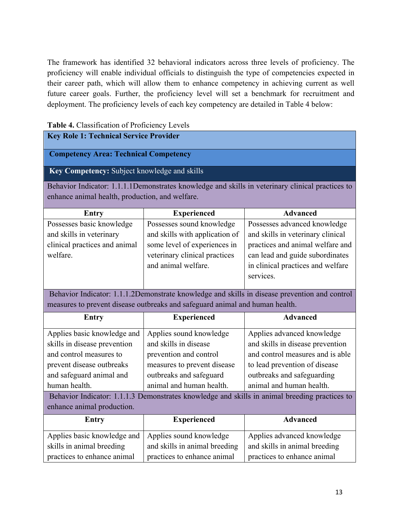The framework has identified 32 behavioral indicators across three levels of proficiency. The proficiency will enable individual officials to distinguish the type of competencies expected in their career path, which will allow them to enhance competency in achieving current as well future career goals. Further, the proficiency level will set a benchmark for recruitment and deployment. The proficiency levels of each key competency are detailed in Table 4 below:

| Table 4. Classification of Proficiency Levels                                                                                                                                 |                                                                                                                                                                  |                                                                                                                                                                                                                                                                                                |  |
|-------------------------------------------------------------------------------------------------------------------------------------------------------------------------------|------------------------------------------------------------------------------------------------------------------------------------------------------------------|------------------------------------------------------------------------------------------------------------------------------------------------------------------------------------------------------------------------------------------------------------------------------------------------|--|
| <b>Key Role 1: Technical Service Provider</b>                                                                                                                                 |                                                                                                                                                                  |                                                                                                                                                                                                                                                                                                |  |
| <b>Competency Area: Technical Competency</b>                                                                                                                                  |                                                                                                                                                                  |                                                                                                                                                                                                                                                                                                |  |
| Key Competency: Subject knowledge and skills                                                                                                                                  |                                                                                                                                                                  |                                                                                                                                                                                                                                                                                                |  |
| enhance animal health, production, and welfare.                                                                                                                               |                                                                                                                                                                  | Behavior Indicator: 1.1.1.1Demonstrates knowledge and skills in veterinary clinical practices to                                                                                                                                                                                               |  |
| <b>Entry</b>                                                                                                                                                                  | <b>Experienced</b>                                                                                                                                               | <b>Advanced</b>                                                                                                                                                                                                                                                                                |  |
| Possesses basic knowledge<br>and skills in veterinary<br>clinical practices and animal<br>welfare.                                                                            | Possesses sound knowledge<br>and skills with application of<br>some level of experiences in<br>veterinary clinical practices<br>and animal welfare.              | Possesses advanced knowledge<br>and skills in veterinary clinical<br>practices and animal welfare and<br>can lead and guide subordinates<br>in clinical practices and welfare<br>services.                                                                                                     |  |
| Behavior Indicator: 1.1.1.2Demonstrate knowledge and skills in disease prevention and control<br>measures to prevent disease outbreaks and safeguard animal and human health. |                                                                                                                                                                  |                                                                                                                                                                                                                                                                                                |  |
| <b>Entry</b>                                                                                                                                                                  | <b>Experienced</b>                                                                                                                                               | <b>Advanced</b>                                                                                                                                                                                                                                                                                |  |
| Applies basic knowledge and<br>skills in disease prevention<br>and control measures to<br>prevent disease outbreaks<br>and safeguard animal and<br>human health.              | Applies sound knowledge<br>and skills in disease<br>prevention and control<br>measures to prevent disease<br>outbreaks and safeguard<br>animal and human health. | Applies advanced knowledge<br>and skills in disease prevention<br>and control measures and is able<br>to lead prevention of disease<br>outbreaks and safeguarding<br>animal and human health.<br>Behavior Indicator: 1.1.1.3 Demonstrates knowledge and skills in animal breeding practices to |  |
| enhance animal production.                                                                                                                                                    |                                                                                                                                                                  |                                                                                                                                                                                                                                                                                                |  |
| <b>Advanced</b><br><b>Experienced</b><br><b>Entry</b>                                                                                                                         |                                                                                                                                                                  |                                                                                                                                                                                                                                                                                                |  |
| Applies basic knowledge and                                                                                                                                                   | Applies sound knowledge                                                                                                                                          | Applies advanced knowledge                                                                                                                                                                                                                                                                     |  |

and skills in animal breeding practices to enhance animal

skills in animal breeding practices to enhance animal and skills in animal breeding practices to enhance animal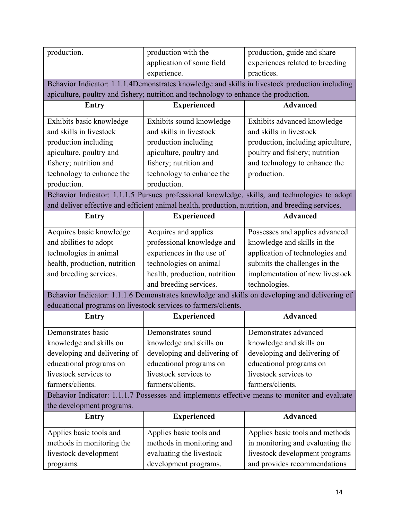| production.                   | production with the                                                                              | production, guide and share                                                                    |
|-------------------------------|--------------------------------------------------------------------------------------------------|------------------------------------------------------------------------------------------------|
|                               | application of some field                                                                        | experiences related to breeding                                                                |
|                               | experience.                                                                                      | practices.                                                                                     |
|                               |                                                                                                  | Behavior Indicator: 1.1.1.4Demonstrates knowledge and skills in livestock production including |
|                               | apiculture, poultry and fishery; nutrition and technology to enhance the production.             |                                                                                                |
| Entry                         | <b>Experienced</b>                                                                               | <b>Advanced</b>                                                                                |
| Exhibits basic knowledge      | Exhibits sound knowledge                                                                         | Exhibits advanced knowledge                                                                    |
| and skills in livestock       | and skills in livestock                                                                          | and skills in livestock                                                                        |
| production including          | production including                                                                             | production, including apiculture,                                                              |
| apiculture, poultry and       | apiculture, poultry and                                                                          | poultry and fishery; nutrition                                                                 |
| fishery; nutrition and        | fishery; nutrition and                                                                           | and technology to enhance the                                                                  |
| technology to enhance the     | technology to enhance the                                                                        | production.                                                                                    |
| production.                   | production.                                                                                      |                                                                                                |
|                               |                                                                                                  | Behavior Indicator: 1.1.1.5 Pursues professional knowledge, skills, and technologies to adopt  |
|                               | and deliver effective and efficient animal health, production, nutrition, and breeding services. |                                                                                                |
| Entry                         | <b>Experienced</b>                                                                               | <b>Advanced</b>                                                                                |
| Acquires basic knowledge      | Acquires and applies                                                                             | Possesses and applies advanced                                                                 |
| and abilities to adopt        | professional knowledge and                                                                       | knowledge and skills in the                                                                    |
| technologies in animal        | experiences in the use of                                                                        | application of technologies and                                                                |
| health, production, nutrition | technologies on animal                                                                           | submits the challenges in the                                                                  |
| and breeding services.        | health, production, nutrition                                                                    | implementation of new livestock                                                                |
|                               | and breeding services.                                                                           | technologies.                                                                                  |
|                               |                                                                                                  | Behavior Indicator: 1.1.1.6 Demonstrates knowledge and skills on developing and delivering of  |
|                               | educational programs on livestock services to farmers/clients.                                   |                                                                                                |
| Entry                         | <b>Experienced</b>                                                                               | <b>Advanced</b>                                                                                |
|                               |                                                                                                  |                                                                                                |
| Demonstrates basic            | Demonstrates sound                                                                               | Demonstrates advanced                                                                          |
| knowledge and skills on       | knowledge and skills on                                                                          | knowledge and skills on                                                                        |
| developing and delivering of  | developing and delivering of                                                                     | developing and delivering of                                                                   |
| educational programs on       | educational programs on                                                                          | educational programs on                                                                        |
| livestock services to         | livestock services to                                                                            | livestock services to                                                                          |
| farmers/clients.              | farmers/clients.                                                                                 | farmers/clients.                                                                               |
|                               |                                                                                                  | Behavior Indicator: 1.1.1.7 Possesses and implements effective means to monitor and evaluate   |
| the development programs.     |                                                                                                  |                                                                                                |
| Entry                         | <b>Experienced</b>                                                                               | <b>Advanced</b>                                                                                |
| Applies basic tools and       | Applies basic tools and                                                                          | Applies basic tools and methods                                                                |
| methods in monitoring the     |                                                                                                  |                                                                                                |
|                               | methods in monitoring and                                                                        | in monitoring and evaluating the                                                               |
| livestock development         | evaluating the livestock                                                                         | livestock development programs                                                                 |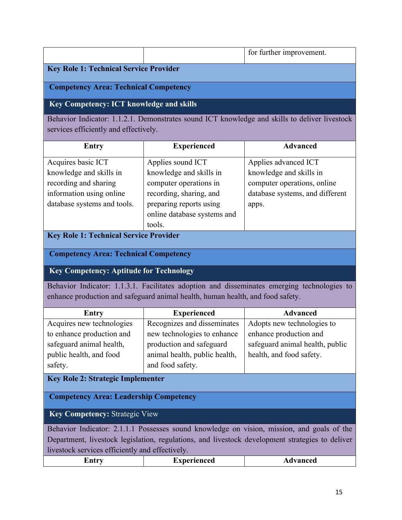|                                                                                                                                                                                                                                                  |                                                                                                                                                                       | for further improvement.                                                                                                   |
|--------------------------------------------------------------------------------------------------------------------------------------------------------------------------------------------------------------------------------------------------|-----------------------------------------------------------------------------------------------------------------------------------------------------------------------|----------------------------------------------------------------------------------------------------------------------------|
| <b>Key Role 1: Technical Service Provider</b>                                                                                                                                                                                                    |                                                                                                                                                                       |                                                                                                                            |
| <b>Competency Area: Technical Competency</b>                                                                                                                                                                                                     |                                                                                                                                                                       |                                                                                                                            |
| <b>Key Competency: ICT knowledge and skills</b>                                                                                                                                                                                                  |                                                                                                                                                                       |                                                                                                                            |
| services efficiently and effectively.                                                                                                                                                                                                            |                                                                                                                                                                       | Behavior Indicator: 1.1.2.1. Demonstrates sound ICT knowledge and skills to deliver livestock                              |
| <b>Entry</b>                                                                                                                                                                                                                                     | <b>Experienced</b>                                                                                                                                                    | <b>Advanced</b>                                                                                                            |
| Acquires basic ICT<br>knowledge and skills in<br>recording and sharing<br>information using online<br>database systems and tools.                                                                                                                | Applies sound ICT<br>knowledge and skills in<br>computer operations in<br>recording, sharing, and<br>preparing reports using<br>online database systems and<br>tools. | Applies advanced ICT<br>knowledge and skills in<br>computer operations, online<br>database systems, and different<br>apps. |
| <b>Key Role 1: Technical Service Provider</b>                                                                                                                                                                                                    |                                                                                                                                                                       |                                                                                                                            |
| <b>Competency Area: Technical Competency</b>                                                                                                                                                                                                     |                                                                                                                                                                       |                                                                                                                            |
| <b>Key Competency: Aptitude for Technology</b>                                                                                                                                                                                                   |                                                                                                                                                                       |                                                                                                                            |
|                                                                                                                                                                                                                                                  | enhance production and safeguard animal health, human health, and food safety.                                                                                        | Behavior Indicator: 1.1.3.1. Facilitates adoption and disseminates emerging technologies to                                |
| <b>Entry</b>                                                                                                                                                                                                                                     | <b>Experienced</b>                                                                                                                                                    | <b>Advanced</b>                                                                                                            |
| Acquires new technologies<br>to enhance production and<br>safeguard animal health,<br>public health, and food<br>safety.                                                                                                                         | Recognizes and disseminates<br>new technologies to enhance<br>production and safeguard<br>animal health, public health,<br>and food safety.                           | Adopts new technologies to<br>enhance production and<br>safeguard animal health, public<br>health, and food safety.        |
| <b>Key Role 2: Strategic Implementer</b>                                                                                                                                                                                                         |                                                                                                                                                                       |                                                                                                                            |
| <b>Competency Area: Leadership Competency</b>                                                                                                                                                                                                    |                                                                                                                                                                       |                                                                                                                            |
| <b>Key Competency: Strategic View</b>                                                                                                                                                                                                            |                                                                                                                                                                       |                                                                                                                            |
| Behavior Indicator: 2.1.1.1 Possesses sound knowledge on vision, mission, and goals of the<br>Department, livestock legislation, regulations, and livestock development strategies to deliver<br>livestock services efficiently and effectively. |                                                                                                                                                                       |                                                                                                                            |
|                                                                                                                                                                                                                                                  |                                                                                                                                                                       |                                                                                                                            |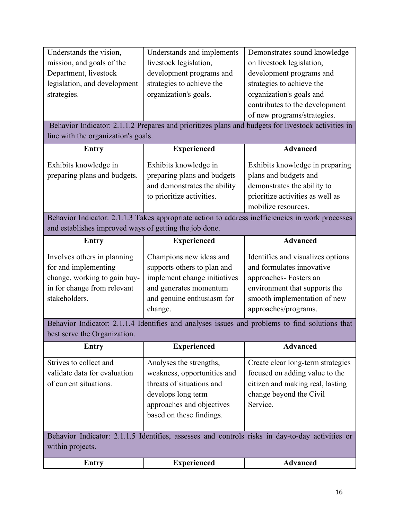| Understands the vision,      | Understands and implements | Demonstrates sound knowledge   |
|------------------------------|----------------------------|--------------------------------|
| mission, and goals of the    | livestock legislation,     | on livestock legislation,      |
| Department, livestock        | development programs and   | development programs and       |
| legislation, and development | strategies to achieve the  | strategies to achieve the      |
| strategies.                  | organization's goals.      | organization's goals and       |
|                              |                            | contributes to the development |
|                              |                            | of new programs/strategies.    |

Behavior Indicator: 2.1.1.2 Prepares and prioritizes plans and budgets for livestock activities in line with the organization's goals.

| <b>Entry</b>                 | <b>Experienced</b>           | <b>Advanced</b>                  |
|------------------------------|------------------------------|----------------------------------|
| Exhibits knowledge in        | Exhibits knowledge in        | Exhibits knowledge in preparing  |
| preparing plans and budgets. | preparing plans and budgets  | plans and budgets and            |
|                              | and demonstrates the ability | demonstrates the ability to      |
|                              | to prioritize activities.    | prioritize activities as well as |
|                              |                              | mobilize resources.              |

Behavior Indicator: 2.1.1.3 Takes appropriate action to address inefficiencies in work processes and establishes improved ways of getting the job done.

| <b>Entry</b>                 | <b>Experienced</b>           | <b>Advanced</b>                   |
|------------------------------|------------------------------|-----------------------------------|
| Involves others in planning  | Champions new ideas and      | Identifies and visualizes options |
| for and implementing         | supports others to plan and  | and formulates innovative         |
| change, working to gain buy- | implement change initiatives | approaches-Fosters an             |
| in for change from relevant  | and generates momentum       | environment that supports the     |
| stakeholders.                | and genuine enthusiasm for   | smooth implementation of new      |
|                              | change.                      | approaches/programs.              |

Behavior Indicator: 2.1.1.4 Identifies and analyses issues and problems to find solutions that best serve the Organization.

| <b>Entry</b>                                                                     | <b>Experienced</b>                                                                                                                                                 | <b>Advanced</b>                                                                                                                                |
|----------------------------------------------------------------------------------|--------------------------------------------------------------------------------------------------------------------------------------------------------------------|------------------------------------------------------------------------------------------------------------------------------------------------|
| Strives to collect and<br>validate data for evaluation<br>of current situations. | Analyses the strengths,<br>weakness, opportunities and<br>threats of situations and<br>develops long term<br>approaches and objectives<br>based on these findings. | Create clear long-term strategies<br>focused on adding value to the<br>citizen and making real, lasting<br>change beyond the Civil<br>Service. |
| within projects.                                                                 |                                                                                                                                                                    | Behavior Indicator: 2.1.1.5 Identifies, assesses and controls risks in day-to-day activities or                                                |

| …ntr™<br>-- | ienced<br>________<br><b>*III</b> | . <b>.</b><br>lceu |
|-------------|-----------------------------------|--------------------|
|             |                                   |                    |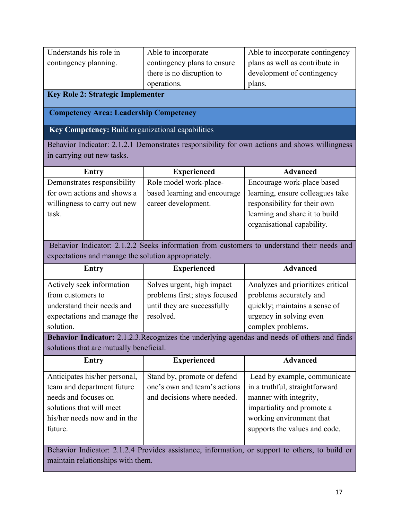| Understands his role in | Able to incorporate         | Able to incorporate contingency |
|-------------------------|-----------------------------|---------------------------------|
| contingency planning.   | contingency plans to ensure | plans as well as contribute in  |
|                         | there is no disruption to   | development of contingency      |
|                         | operations.                 | plans.                          |

#### **Key Role 2: Strategic Implementer**

#### **Competency Area: Leadership Competency**

### **Key Competency:** Build organizational capabilities

Behavior Indicator: 2.1.2.1 Demonstrates responsibility for own actions and shows willingness in carrying out new tasks.

| Entry                        | <b>Experienced</b>           | <b>Advanced</b>                  |
|------------------------------|------------------------------|----------------------------------|
| Demonstrates responsibility  | Role model work-place-       | Encourage work-place based       |
| for own actions and shows a  | based learning and encourage | learning, ensure colleagues take |
| willingness to carry out new | career development.          | responsibility for their own     |
| task.                        |                              | learning and share it to build   |
|                              |                              | organisational capability.       |
|                              |                              |                                  |

Behavior Indicator: 2.1.2.2 Seeks information from customers to understand their needs and expectations and manage the solution appropriately.

| <b>Entry</b>                | <b>Experienced</b>            | <b>Advanced</b>                   |
|-----------------------------|-------------------------------|-----------------------------------|
| Actively seek information   | Solves urgent, high impact    | Analyzes and prioritizes critical |
| from customers to           | problems first; stays focused | problems accurately and           |
| understand their needs and  | until they are successfully   | quickly; maintains a sense of     |
| expectations and manage the | resolved.                     | urgency in solving even           |
| solution.                   |                               | complex problems.                 |

**Behavior Indicator:** 2.1.2.3.Recognizes the underlying agendas and needs of others and finds solutions that are mutually beneficial.

| <b>Entry</b>                  | <b>Experienced</b>           | <b>Advanced</b>                |
|-------------------------------|------------------------------|--------------------------------|
| Anticipates his/her personal, | Stand by, promote or defend  | Lead by example, communicate   |
| team and department future    | one's own and team's actions | in a truthful, straightforward |
| needs and focuses on          | and decisions where needed.  | manner with integrity,         |
| solutions that will meet      |                              | impartiality and promote a     |
| his/her needs now and in the  |                              | working environment that       |
| future.                       |                              | supports the values and code.  |
|                               |                              |                                |

Behavior Indicator: 2.1.2.4 Provides assistance, information, or support to others, to build or maintain relationships with them.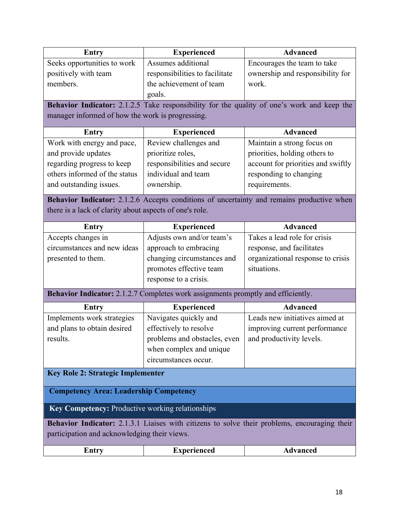| <b>Entry</b>                                            | <b>Experienced</b>                                                               | <b>Advanced</b>                                                                              |
|---------------------------------------------------------|----------------------------------------------------------------------------------|----------------------------------------------------------------------------------------------|
| Seeks opportunities to work                             | Assumes additional                                                               | Encourages the team to take                                                                  |
| positively with team                                    | responsibilities to facilitate                                                   | ownership and responsibility for                                                             |
| members.                                                | the achievement of team                                                          | work.                                                                                        |
|                                                         | goals.                                                                           |                                                                                              |
|                                                         |                                                                                  | Behavior Indicator: 2.1.2.5 Take responsibility for the quality of one's work and keep the   |
| manager informed of how the work is progressing.        |                                                                                  |                                                                                              |
| <b>Entry</b>                                            | <b>Experienced</b>                                                               | <b>Advanced</b>                                                                              |
| Work with energy and pace,                              | Review challenges and                                                            | Maintain a strong focus on                                                                   |
| and provide updates                                     | prioritize roles,                                                                | priorities, holding others to                                                                |
| regarding progress to keep                              | responsibilities and secure                                                      | account for priorities and swiftly                                                           |
| others informed of the status                           | individual and team                                                              | responding to changing                                                                       |
| and outstanding issues.                                 | ownership.                                                                       | requirements.                                                                                |
|                                                         |                                                                                  | Behavior Indicator: 2.1.2.6 Accepts conditions of uncertainty and remains productive when    |
| there is a lack of clarity about aspects of one's role. |                                                                                  |                                                                                              |
| <b>Entry</b>                                            | <b>Experienced</b>                                                               | <b>Advanced</b>                                                                              |
| Accepts changes in                                      | Adjusts own and/or team's                                                        | Takes a lead role for crisis                                                                 |
| circumstances and new ideas                             | approach to embracing                                                            | response, and facilitates                                                                    |
| presented to them.                                      | changing circumstances and                                                       | organizational response to crisis                                                            |
|                                                         | promotes effective team                                                          | situations.                                                                                  |
|                                                         | response to a crisis.                                                            |                                                                                              |
|                                                         | Behavior Indicator: 2.1.2.7 Completes work assignments promptly and efficiently. |                                                                                              |
| <b>Entry</b>                                            | <b>Experienced</b>                                                               | <b>Advanced</b>                                                                              |
| Implements work strategies                              | Navigates quickly and                                                            | Leads new initiatives aimed at                                                               |
| and plans to obtain desired                             | effectively to resolve                                                           | improving current performance                                                                |
| results.                                                | problems and obstacles, even                                                     | and productivity levels.                                                                     |
|                                                         | when complex and unique                                                          |                                                                                              |
|                                                         | circumstances occur.                                                             |                                                                                              |
| <b>Key Role 2: Strategic Implementer</b>                |                                                                                  |                                                                                              |
| <b>Competency Area: Leadership Competency</b>           |                                                                                  |                                                                                              |
| Key Competency: Productive working relationships        |                                                                                  |                                                                                              |
|                                                         |                                                                                  | Behavior Indicator: 2.1.3.1 Liaises with citizens to solve their problems, encouraging their |
| participation and acknowledging their views.            |                                                                                  |                                                                                              |
| Entry                                                   | <b>Experienced</b>                                                               | <b>Advanced</b>                                                                              |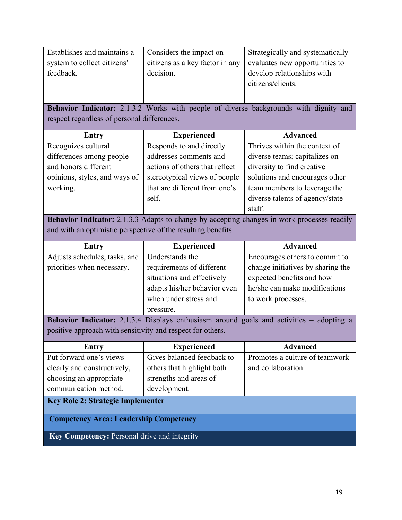| Establishes and maintains a | Considers the impact on         | Strategically and systematically |
|-----------------------------|---------------------------------|----------------------------------|
| system to collect citizens' | citizens as a key factor in any | evaluates new opportunities to   |
| feedback.                   | decision.                       | develop relationships with       |
|                             |                                 | citizens/clients.                |
|                             |                                 |                                  |

**Behavior Indicator:** 2.1.3.2 Works with people of diverse backgrounds with dignity and respect regardless of personal differences.

| <b>Entry</b>                  | <b>Experienced</b>                                        | <b>Advanced</b>                 |  |
|-------------------------------|-----------------------------------------------------------|---------------------------------|--|
| Recognizes cultural           | Thrives within the context of<br>Responds to and directly |                                 |  |
| differences among people      | addresses comments and                                    | diverse teams; capitalizes on   |  |
| and honors different          | actions of others that reflect                            | diversity to find creative      |  |
| opinions, styles, and ways of | stereotypical views of people                             | solutions and encourages other  |  |
| working.                      | that are different from one's                             | team members to leverage the    |  |
|                               | self.                                                     | diverse talents of agency/state |  |
|                               |                                                           | staff.                          |  |

**Behavior Indicator:** 2.1.3.3 Adapts to change by accepting changes in work processes readily and with an optimistic perspective of the resulting benefits.

| Entry                         | <b>Experienced</b>           | <b>Advanced</b>                   |
|-------------------------------|------------------------------|-----------------------------------|
| Adjusts schedules, tasks, and | Understands the              | Encourages others to commit to    |
| priorities when necessary.    | requirements of different    | change initiatives by sharing the |
|                               | situations and effectively   | expected benefits and how         |
|                               | adapts his/her behavior even | he/she can make modifications     |
|                               | when under stress and        | to work processes.                |
|                               | pressure.                    |                                   |

**Behavior Indicator:** 2.1.3.4 Displays enthusiasm around goals and activities – adopting a positive approach with sensitivity and respect for others.

| <b>Entry</b>                                        | <b>Experienced</b>         |                                |  |  |
|-----------------------------------------------------|----------------------------|--------------------------------|--|--|
| Put forward one's views                             | Gives balanced feedback to | Promotes a culture of teamwork |  |  |
| clearly and constructively,                         | others that highlight both | and collaboration.             |  |  |
| choosing an appropriate                             | strengths and areas of     |                                |  |  |
| communication method.                               | development.               |                                |  |  |
| <b>Key Role 2: Strategic Implementer</b>            |                            |                                |  |  |
| <b>Competency Area: Leadership Competency</b>       |                            |                                |  |  |
| <b>Key Competency: Personal drive and integrity</b> |                            |                                |  |  |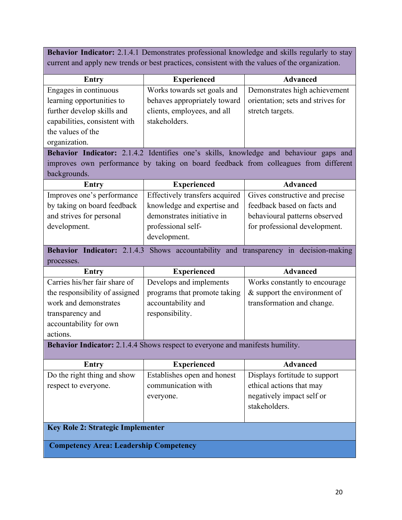**Behavior Indicator:** 2.1.4.1 Demonstrates professional knowledge and skills regularly to stay current and apply new trends or best practices, consistent with the values of the organization.

| Entry                         | <b>Experienced</b>           | <b>Advanced</b>                   |
|-------------------------------|------------------------------|-----------------------------------|
| Engages in continuous         | Works towards set goals and  | Demonstrates high achievement     |
| learning opportunities to     | behaves appropriately toward | orientation; sets and strives for |
| further develop skills and    | clients, employees, and all  | stretch targets.                  |
| capabilities, consistent with | stakeholders.                |                                   |
| the values of the             |                              |                                   |
| organization.                 |                              |                                   |

**Behavior Indicator:** 2.1.4.2 Identifies one's skills, knowledge and behaviour gaps and improves own performance by taking on board feedback from colleagues from different backgrounds.

| <b>Experienced</b><br><b>Entry</b> |                             | <b>Advanced</b>                                                 |  |
|------------------------------------|-----------------------------|-----------------------------------------------------------------|--|
| Improves one's performance         |                             | Effectively transfers acquired   Gives constructive and precise |  |
| by taking on board feedback        | knowledge and expertise and | feedback based on facts and                                     |  |
| and strives for personal           | demonstrates initiative in  | behavioural patterns observed                                   |  |
| development.                       | professional self-          | for professional development.                                   |  |
|                                    | development.                |                                                                 |  |

**Behavior Indicator:** 2.1.4.3 Shows accountability and transparency in decision-making processes.

| <b>Entry</b>                   | <b>Experienced</b>           | <b>Advanced</b>                |
|--------------------------------|------------------------------|--------------------------------|
| Carries his/her fair share of  | Develops and implements      | Works constantly to encourage  |
| the responsibility of assigned | programs that promote taking | $&$ support the environment of |
| work and demonstrates          | accountability and           | transformation and change.     |
| transparency and               | responsibility.              |                                |
| accountability for own         |                              |                                |
| actions.                       |                              |                                |

**Behavior Indicator:** 2.1.4.4 Shows respect to everyone and manifests humility.

| <b>Entry</b>                                  | <b>Experienced</b>          | <b>Advanced</b>               |  |  |
|-----------------------------------------------|-----------------------------|-------------------------------|--|--|
| Do the right thing and show                   | Establishes open and honest | Displays fortitude to support |  |  |
| respect to everyone.                          | communication with          | ethical actions that may      |  |  |
|                                               | everyone.                   | negatively impact self or     |  |  |
|                                               |                             | stakeholders.                 |  |  |
|                                               |                             |                               |  |  |
| <b>Key Role 2: Strategic Implementer</b>      |                             |                               |  |  |
| <b>Competency Area: Leadership Competency</b> |                             |                               |  |  |
|                                               |                             |                               |  |  |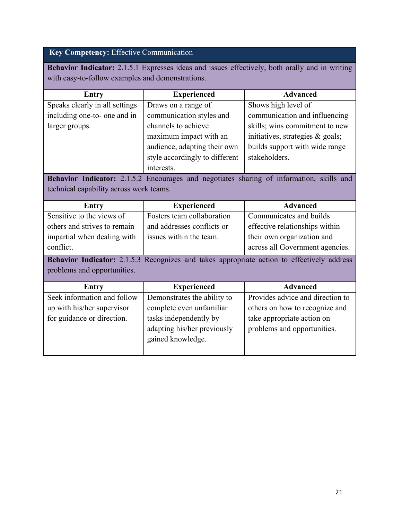### **Key Competency:** Effective Communication

**Behavior Indicator:** 2.1.5.1 Expresses ideas and issues effectively, both orally and in writing with easy-to-follow examples and demonstrations.

| <b>Entry</b>                            | <b>Experienced</b>             | <b>Advanced</b>                                                                            |
|-----------------------------------------|--------------------------------|--------------------------------------------------------------------------------------------|
| Speaks clearly in all settings          | Draws on a range of            | Shows high level of                                                                        |
| including one-to- one and in            | communication styles and       | communication and influencing                                                              |
| larger groups.                          | channels to achieve            | skills; wins commitment to new                                                             |
|                                         | maximum impact with an         | initiatives, strategies & goals;                                                           |
|                                         | audience, adapting their own   | builds support with wide range                                                             |
|                                         | style accordingly to different | stakeholders.                                                                              |
|                                         | interests.                     |                                                                                            |
|                                         |                                | Behavior Indicator: 2.1.5.2 Encourages and negotiates sharing of information, skills and   |
| technical capability across work teams. |                                |                                                                                            |
| <b>Entry</b>                            | <b>Experienced</b>             | <b>Advanced</b>                                                                            |
| Sensitive to the views of               | Fosters team collaboration     | Communicates and builds                                                                    |
| others and strives to remain            | and addresses conflicts or     | effective relationships within                                                             |
| impartial when dealing with             | issues within the team.        | their own organization and                                                                 |
| conflict.                               |                                | across all Government agencies.                                                            |
| problems and opportunities.             |                                | Behavior Indicator: 2.1.5.3 Recognizes and takes appropriate action to effectively address |
| <b>Entry</b>                            | <b>Experienced</b>             | <b>Advanced</b>                                                                            |
| Seek information and follow             | Demonstrates the ability to    | Provides advice and direction to                                                           |
| up with his/her supervisor              | complete even unfamiliar       | others on how to recognize and                                                             |
| for guidance or direction.              | tasks independently by         | take appropriate action on                                                                 |
|                                         | adapting his/her previously    | problems and opportunities.                                                                |
|                                         | gained knowledge.              |                                                                                            |
|                                         |                                |                                                                                            |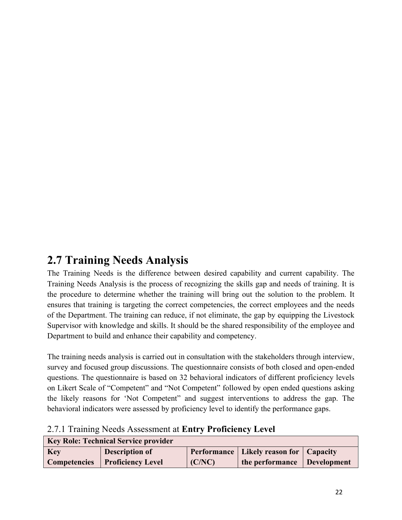### **2.7 Training Needs Analysis**

The Training Needs is the difference between desired capability and current capability. The Training Needs Analysis is the process of recognizing the skills gap and needs of training. It is the procedure to determine whether the training will bring out the solution to the problem. It ensures that training is targeting the correct competencies, the correct employees and the needs of the Department. The training can reduce, if not eliminate, the gap by equipping the Livestock Supervisor with knowledge and skills. It should be the shared responsibility of the employee and Department to build and enhance their capability and competency.

The training needs analysis is carried out in consultation with the stakeholders through interview, survey and focused group discussions. The questionnaire consists of both closed and open-ended questions. The questionnaire is based on 32 behavioral indicators of different proficiency levels on Likert Scale of "Competent" and "Not Competent" followed by open ended questions asking the likely reasons for 'Not Competent" and suggest interventions to address the gap. The behavioral indicators were assessed by proficiency level to identify the performance gaps.

|  | 2.7.1 Training Needs Assessment at Entry Proficiency Level |  |
|--|------------------------------------------------------------|--|
|  |                                                            |  |

| <b>Key Role: Technical Service provider</b> |                                       |        |                                            |  |
|---------------------------------------------|---------------------------------------|--------|--------------------------------------------|--|
| <b>Key</b>                                  | Description of                        |        | Performance   Likely reason for   Capacity |  |
|                                             | <b>Competencies</b> Proficiency Level | (C/NC) | the performance Development                |  |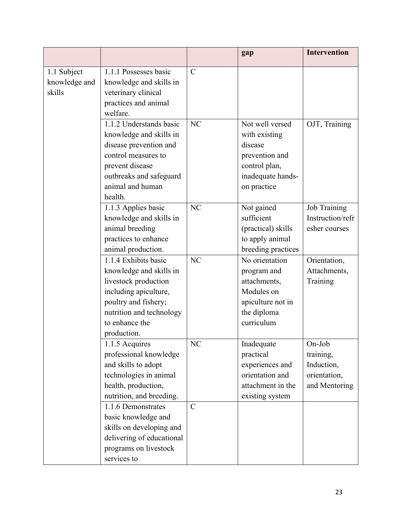|                              |                                                                                                                                                                                               |               | gap                                  | <b>Intervention</b>              |
|------------------------------|-----------------------------------------------------------------------------------------------------------------------------------------------------------------------------------------------|---------------|--------------------------------------|----------------------------------|
| 1.1 Subject<br>knowledge and | 1.1.1 Possesses basic<br>knowledge and skills in                                                                                                                                              | $\mathcal{C}$ |                                      |                                  |
| skills                       | veterinary clinical                                                                                                                                                                           |               |                                      |                                  |
|                              | practices and animal                                                                                                                                                                          |               |                                      |                                  |
|                              | welfare.                                                                                                                                                                                      |               |                                      |                                  |
|                              | 1.1.2 Understands basic                                                                                                                                                                       | <b>NC</b>     | Not well versed                      | OJT, Training                    |
|                              | knowledge and skills in                                                                                                                                                                       |               | with existing                        |                                  |
|                              | disease prevention and                                                                                                                                                                        |               | disease                              |                                  |
|                              | control measures to                                                                                                                                                                           |               | prevention and                       |                                  |
|                              | prevent disease                                                                                                                                                                               |               | control plan,                        |                                  |
|                              | outbreaks and safeguard                                                                                                                                                                       |               | inadequate hands-                    |                                  |
|                              | animal and human                                                                                                                                                                              |               | on practice                          |                                  |
|                              | health.                                                                                                                                                                                       | NC            |                                      |                                  |
|                              | 1.1.3 Applies basic<br>knowledge and skills in                                                                                                                                                |               | Not gained<br>sufficient             | Job Training<br>Instruction/refr |
|                              | animal breeding                                                                                                                                                                               |               | (practical) skills                   | esher courses                    |
|                              | practices to enhance                                                                                                                                                                          |               | to apply animal                      |                                  |
|                              | animal production.                                                                                                                                                                            |               | breeding practices                   |                                  |
|                              | 1.1.4 Exhibits basic                                                                                                                                                                          | <b>NC</b>     | No orientation                       | Orientation,                     |
|                              | knowledge and skills in                                                                                                                                                                       |               | program and                          | Attachments,                     |
|                              | livestock production                                                                                                                                                                          |               | attachments,                         | Training                         |
|                              | including apiculture,                                                                                                                                                                         |               | Modules on                           |                                  |
|                              | poultry and fishery;                                                                                                                                                                          |               | apiculture not in                    |                                  |
|                              | nutrition and technology                                                                                                                                                                      |               | the diploma                          |                                  |
|                              | to enhance the                                                                                                                                                                                |               | curriculum                           |                                  |
|                              | production.                                                                                                                                                                                   |               |                                      |                                  |
|                              | 1.1.5 Acquires                                                                                                                                                                                | NC            | Inadequate                           | On-Job                           |
|                              | professional knowledge                                                                                                                                                                        |               | practical                            | training,                        |
|                              | and skills to adopt                                                                                                                                                                           |               | experiences and                      | Induction,                       |
|                              | technologies in animal                                                                                                                                                                        |               | orientation and                      | orientation,                     |
|                              |                                                                                                                                                                                               |               |                                      |                                  |
|                              |                                                                                                                                                                                               |               |                                      |                                  |
|                              |                                                                                                                                                                                               |               |                                      |                                  |
|                              |                                                                                                                                                                                               |               |                                      |                                  |
|                              |                                                                                                                                                                                               |               |                                      |                                  |
|                              |                                                                                                                                                                                               |               |                                      |                                  |
|                              |                                                                                                                                                                                               |               |                                      |                                  |
|                              | health, production,<br>nutrition, and breeding.<br>1.1.6 Demonstrates<br>basic knowledge and<br>skills on developing and<br>delivering of educational<br>programs on livestock<br>services to | $\mathbf C$   | attachment in the<br>existing system | and Mentoring                    |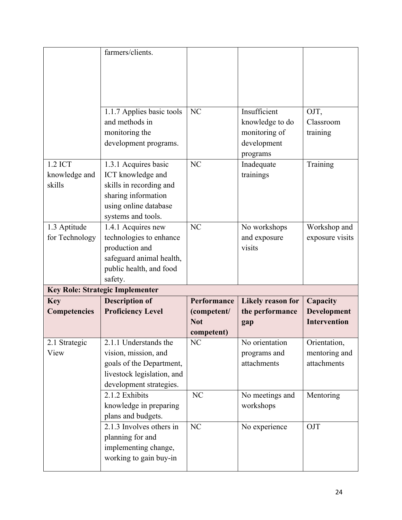|                     | farmers/clients.                                       |                |                                 |                     |
|---------------------|--------------------------------------------------------|----------------|---------------------------------|---------------------|
|                     |                                                        |                |                                 |                     |
|                     |                                                        |                |                                 |                     |
|                     |                                                        |                |                                 |                     |
|                     | 1.1.7 Applies basic tools<br>and methods in            | N <sub>C</sub> | Insufficient<br>knowledge to do | OJT,<br>Classroom   |
|                     | monitoring the                                         |                | monitoring of                   | training            |
|                     | development programs.                                  |                | development                     |                     |
|                     |                                                        |                | programs                        |                     |
| 1.2 ICT             | 1.3.1 Acquires basic                                   | NC             | Inadequate                      | Training            |
| knowledge and       | ICT knowledge and                                      |                | trainings                       |                     |
| skills              | skills in recording and                                |                |                                 |                     |
|                     | sharing information<br>using online database           |                |                                 |                     |
|                     | systems and tools.                                     |                |                                 |                     |
| 1.3 Aptitude        | 1.4.1 Acquires new                                     | <b>NC</b>      | No workshops                    | Workshop and        |
| for Technology      | technologies to enhance                                |                | and exposure                    | exposure visits     |
|                     | production and                                         |                | visits                          |                     |
|                     | safeguard animal health,                               |                |                                 |                     |
|                     | public health, and food                                |                |                                 |                     |
|                     | safety.<br><b>Key Role: Strategic Implementer</b>      |                |                                 |                     |
| <b>Key</b>          | <b>Description of</b>                                  | Performance    | <b>Likely reason for</b>        | Capacity            |
| <b>Competencies</b> | <b>Proficiency Level</b>                               | (competent/    | the performance                 | <b>Development</b>  |
|                     |                                                        | <b>Not</b>     | gap                             | <b>Intervention</b> |
|                     |                                                        | competent)     |                                 |                     |
| 2.1 Strategic       | 2.1.1 Understands the                                  | N <sub>C</sub> | No orientation                  | Orientation,        |
| View                | vision, mission, and                                   |                | programs and                    | mentoring and       |
|                     | goals of the Department,<br>livestock legislation, and |                | attachments                     | attachments         |
|                     | development strategies.                                |                |                                 |                     |
|                     | 2.1.2 Exhibits                                         | NC             | No meetings and                 | Mentoring           |
|                     | knowledge in preparing                                 |                | workshops                       |                     |
|                     | plans and budgets.                                     |                |                                 |                     |
|                     | 2.1.3 Involves others in                               | NC             | No experience                   | OJT                 |
|                     | planning for and                                       |                |                                 |                     |
|                     | implementing change,                                   |                |                                 |                     |
|                     | working to gain buy-in                                 |                |                                 |                     |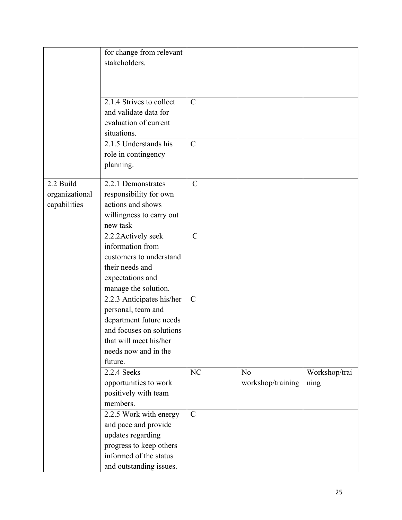|                                             | for change from relevant<br>stakeholders.<br>2.1.4 Strives to collect                                                                                               | $\mathsf{C}$  |                         |                       |
|---------------------------------------------|---------------------------------------------------------------------------------------------------------------------------------------------------------------------|---------------|-------------------------|-----------------------|
|                                             | and validate data for<br>evaluation of current<br>situations.                                                                                                       |               |                         |                       |
|                                             | 2.1.5 Understands his<br>role in contingency<br>planning.                                                                                                           | $\mathbf C$   |                         |                       |
| 2.2 Build<br>organizational<br>capabilities | 2.2.1 Demonstrates<br>responsibility for own<br>actions and shows<br>willingness to carry out<br>new task                                                           | $\mathcal{C}$ |                         |                       |
|                                             | 2.2.2 Actively seek<br>information from<br>customers to understand<br>their needs and<br>expectations and<br>manage the solution.                                   | $\mathcal{C}$ |                         |                       |
|                                             | 2.2.3 Anticipates his/her<br>personal, team and<br>department future needs<br>and focuses on solutions<br>that will meet his/her<br>needs now and in the<br>future. | $\mathbf C$   |                         |                       |
|                                             | 2.2.4 Seeks<br>opportunities to work<br>positively with team<br>members.                                                                                            | NC            | No<br>workshop/training | Workshop/trai<br>ning |
|                                             | 2.2.5 Work with energy<br>and pace and provide<br>updates regarding<br>progress to keep others<br>informed of the status<br>and outstanding issues.                 | $\mathcal{C}$ |                         |                       |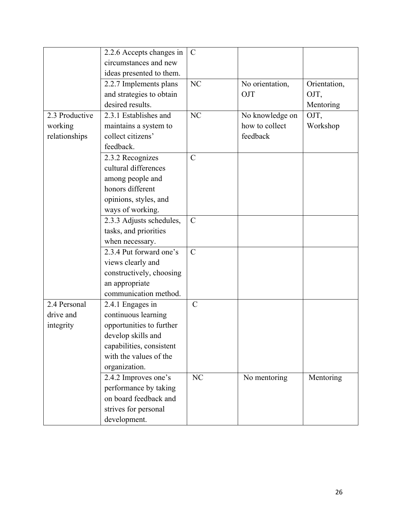|                | 2.2.6 Accepts changes in | $\mathcal{C}$ |                 |              |
|----------------|--------------------------|---------------|-----------------|--------------|
|                | circumstances and new    |               |                 |              |
|                | ideas presented to them. |               |                 |              |
|                | 2.2.7 Implements plans   | NC            | No orientation, | Orientation, |
|                | and strategies to obtain |               | OJT             | OJT,         |
|                | desired results.         |               |                 |              |
|                |                          |               |                 | Mentoring    |
| 2.3 Productive | 2.3.1 Establishes and    | <b>NC</b>     | No knowledge on | OJT,         |
| working        | maintains a system to    |               | how to collect  | Workshop     |
| relationships  | collect citizens'        |               | feedback        |              |
|                | feedback.                |               |                 |              |
|                | 2.3.2 Recognizes         | $\mathcal{C}$ |                 |              |
|                | cultural differences     |               |                 |              |
|                | among people and         |               |                 |              |
|                | honors different         |               |                 |              |
|                | opinions, styles, and    |               |                 |              |
|                | ways of working.         |               |                 |              |
|                | 2.3.3 Adjusts schedules, | $\mathcal{C}$ |                 |              |
|                | tasks, and priorities    |               |                 |              |
|                | when necessary.          |               |                 |              |
|                | 2.3.4 Put forward one's  | $\mathcal{C}$ |                 |              |
|                | views clearly and        |               |                 |              |
|                | constructively, choosing |               |                 |              |
|                | an appropriate           |               |                 |              |
|                | communication method.    |               |                 |              |
| 2.4 Personal   | 2.4.1 Engages in         | $\mathbf C$   |                 |              |
| drive and      | continuous learning      |               |                 |              |
| integrity      | opportunities to further |               |                 |              |
|                | develop skills and       |               |                 |              |
|                | capabilities, consistent |               |                 |              |
|                | with the values of the   |               |                 |              |
|                | organization.            |               |                 |              |
|                | 2.4.2 Improves one's     | NC            | No mentoring    | Mentoring    |
|                | performance by taking    |               |                 |              |
|                | on board feedback and    |               |                 |              |
|                | strives for personal     |               |                 |              |
|                |                          |               |                 |              |
|                | development.             |               |                 |              |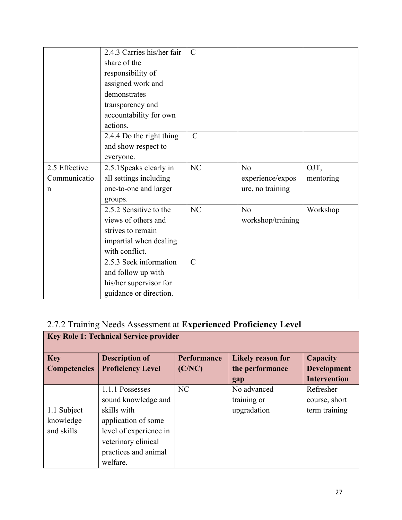|               | 2.4.3 Carries his/her fair | $\mathcal{C}$ |                   |           |
|---------------|----------------------------|---------------|-------------------|-----------|
|               | share of the               |               |                   |           |
|               | responsibility of          |               |                   |           |
|               | assigned work and          |               |                   |           |
|               | demonstrates               |               |                   |           |
|               | transparency and           |               |                   |           |
|               | accountability for own     |               |                   |           |
|               | actions.                   |               |                   |           |
|               | 2.4.4 Do the right thing   | $\mathbf C$   |                   |           |
|               | and show respect to        |               |                   |           |
|               | everyone.                  |               |                   |           |
| 2.5 Effective | 2.5.1 Speaks clearly in    | NC            | No                | OJT,      |
| Communicatio  | all settings including     |               | experience/expos  | mentoring |
| n             | one-to-one and larger      |               | ure, no training  |           |
|               | groups.                    |               |                   |           |
|               | 2.5.2 Sensitive to the     | NC            | N <sub>o</sub>    | Workshop  |
|               | views of others and        |               | workshop/training |           |
|               | strives to remain          |               |                   |           |
|               | impartial when dealing     |               |                   |           |
|               | with conflict.             |               |                   |           |
|               | 2.5.3 Seek information     | $\mathcal{C}$ |                   |           |
|               | and follow up with         |               |                   |           |
|               | his/her supervisor for     |               |                   |           |
|               | guidance or direction.     |               |                   |           |

### 2.7.2 Training Needs Assessment at **Experienced Proficiency Level**

| <b>Key Role 1: Technical Service provider</b> |                                                                                                                                                                   |                              |                                                    |                                                       |
|-----------------------------------------------|-------------------------------------------------------------------------------------------------------------------------------------------------------------------|------------------------------|----------------------------------------------------|-------------------------------------------------------|
| <b>Key</b><br><b>Competencies</b>             | <b>Description of</b><br><b>Proficiency Level</b>                                                                                                                 | <b>Performance</b><br>(C/NC) | <b>Likely reason for</b><br>the performance<br>gap | Capacity<br><b>Development</b><br><b>Intervention</b> |
| 1.1 Subject<br>knowledge<br>and skills        | 1.1.1 Possesses<br>sound knowledge and<br>skills with<br>application of some<br>level of experience in<br>veterinary clinical<br>practices and animal<br>welfare. | NC                           | No advanced<br>training or<br>upgradation          | Refresher<br>course, short<br>term training           |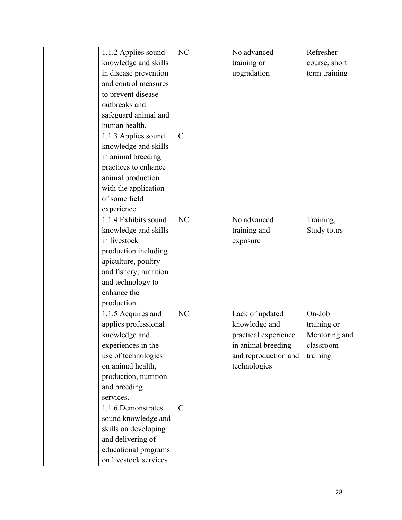| 1.1.2 Applies sound    | NC            | No advanced          | Refresher     |
|------------------------|---------------|----------------------|---------------|
| knowledge and skills   |               | training or          | course, short |
| in disease prevention  |               | upgradation          | term training |
| and control measures   |               |                      |               |
| to prevent disease     |               |                      |               |
| outbreaks and          |               |                      |               |
| safeguard animal and   |               |                      |               |
| human health.          |               |                      |               |
| 1.1.3 Applies sound    | $\mathcal{C}$ |                      |               |
| knowledge and skills   |               |                      |               |
| in animal breeding     |               |                      |               |
| practices to enhance   |               |                      |               |
| animal production      |               |                      |               |
| with the application   |               |                      |               |
| of some field          |               |                      |               |
| experience.            |               |                      |               |
| 1.1.4 Exhibits sound   | <b>NC</b>     | No advanced          | Training,     |
| knowledge and skills   |               | training and         | Study tours   |
| in livestock           |               | exposure             |               |
| production including   |               |                      |               |
| apiculture, poultry    |               |                      |               |
| and fishery; nutrition |               |                      |               |
| and technology to      |               |                      |               |
| enhance the            |               |                      |               |
| production.            |               |                      |               |
| 1.1.5 Acquires and     | NC            | Lack of updated      | On-Job        |
| applies professional   |               | knowledge and        | training or   |
| knowledge and          |               | practical experience | Mentoring and |
| experiences in the     |               | in animal breeding   | classroom     |
| use of technologies    |               | and reproduction and | training      |
| on animal health,      |               | technologies         |               |
| production, nutrition  |               |                      |               |
| and breeding           |               |                      |               |
| services.              |               |                      |               |
| 1.1.6 Demonstrates     | $\mathcal{C}$ |                      |               |
| sound knowledge and    |               |                      |               |
| skills on developing   |               |                      |               |
| and delivering of      |               |                      |               |
| educational programs   |               |                      |               |
| on livestock services  |               |                      |               |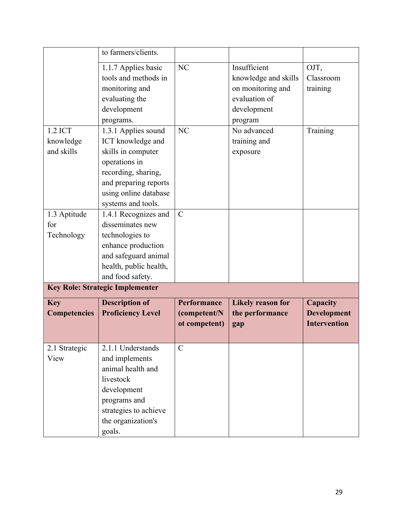|                       | to farmers/clients.                                                                                                                                 |                               |                          |                     |
|-----------------------|-----------------------------------------------------------------------------------------------------------------------------------------------------|-------------------------------|--------------------------|---------------------|
|                       | 1.1.7 Applies basic                                                                                                                                 | NC                            | Insufficient             | OJT,                |
|                       | tools and methods in                                                                                                                                |                               | knowledge and skills     | Classroom           |
|                       | monitoring and                                                                                                                                      |                               | on monitoring and        | training            |
|                       | evaluating the                                                                                                                                      |                               | evaluation of            |                     |
|                       | development                                                                                                                                         |                               | development              |                     |
|                       | programs.                                                                                                                                           |                               | program                  |                     |
| 1.2 ICT               | 1.3.1 Applies sound                                                                                                                                 | NC                            | No advanced              | Training            |
| knowledge             | ICT knowledge and                                                                                                                                   |                               | training and             |                     |
| and skills            | skills in computer                                                                                                                                  |                               | exposure                 |                     |
|                       | operations in                                                                                                                                       |                               |                          |                     |
|                       | recording, sharing,                                                                                                                                 |                               |                          |                     |
|                       | and preparing reports                                                                                                                               |                               |                          |                     |
|                       | using online database                                                                                                                               |                               |                          |                     |
|                       | systems and tools.                                                                                                                                  |                               |                          |                     |
| 1.3 Aptitude          | 1.4.1 Recognizes and                                                                                                                                | $\mathbf C$                   |                          |                     |
| for                   | disseminates new                                                                                                                                    |                               |                          |                     |
| Technology            | technologies to                                                                                                                                     |                               |                          |                     |
|                       | enhance production                                                                                                                                  |                               |                          |                     |
|                       | and safeguard animal                                                                                                                                |                               |                          |                     |
|                       | health, public health,                                                                                                                              |                               |                          |                     |
|                       | and food safety.                                                                                                                                    |                               |                          |                     |
|                       | <b>Key Role: Strategic Implementer</b>                                                                                                              |                               |                          |                     |
| <b>Key</b>            | <b>Description of</b>                                                                                                                               | Performance                   | <b>Likely reason for</b> | <b>Capacity</b>     |
| <b>Competencies</b>   | <b>Proficiency Level</b>                                                                                                                            |                               | the performance          |                     |
|                       |                                                                                                                                                     | ot competent)                 |                          | <b>Intervention</b> |
|                       |                                                                                                                                                     |                               |                          |                     |
|                       |                                                                                                                                                     |                               |                          |                     |
|                       |                                                                                                                                                     |                               |                          |                     |
|                       |                                                                                                                                                     |                               |                          |                     |
|                       |                                                                                                                                                     |                               |                          |                     |
|                       |                                                                                                                                                     |                               |                          |                     |
|                       |                                                                                                                                                     |                               |                          |                     |
|                       |                                                                                                                                                     |                               |                          |                     |
|                       |                                                                                                                                                     |                               |                          |                     |
|                       |                                                                                                                                                     |                               |                          |                     |
| 2.1 Strategic<br>View | 2.1.1 Understands<br>and implements<br>animal health and<br>livestock<br>development<br>programs and<br>strategies to achieve<br>the organization's | (competent/N<br>$\mathcal{C}$ | gap                      | <b>Development</b>  |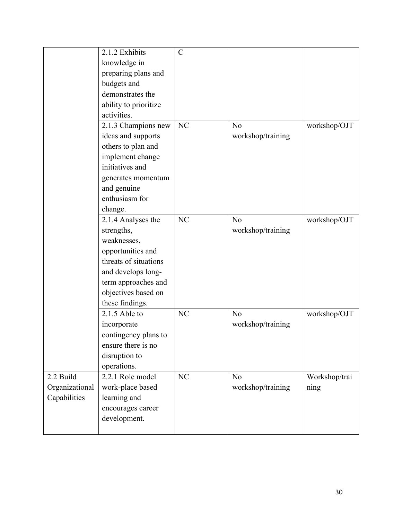|                | 2.1.2 Exhibits        | $\mathcal{C}$ |                   |               |
|----------------|-----------------------|---------------|-------------------|---------------|
|                | knowledge in          |               |                   |               |
|                | preparing plans and   |               |                   |               |
|                | budgets and           |               |                   |               |
|                | demonstrates the      |               |                   |               |
|                | ability to prioritize |               |                   |               |
|                | activities.           |               |                   |               |
|                | 2.1.3 Champions new   | NC            | N <sub>o</sub>    | workshop/OJT  |
|                | ideas and supports    |               | workshop/training |               |
|                | others to plan and    |               |                   |               |
|                | implement change      |               |                   |               |
|                | initiatives and       |               |                   |               |
|                | generates momentum    |               |                   |               |
|                | and genuine           |               |                   |               |
|                | enthusiasm for        |               |                   |               |
|                | change.               |               |                   |               |
|                | 2.1.4 Analyses the    | <b>NC</b>     | N <sub>o</sub>    | workshop/OJT  |
|                | strengths,            |               | workshop/training |               |
|                | weaknesses,           |               |                   |               |
|                | opportunities and     |               |                   |               |
|                | threats of situations |               |                   |               |
|                | and develops long-    |               |                   |               |
|                | term approaches and   |               |                   |               |
|                | objectives based on   |               |                   |               |
|                | these findings.       |               |                   |               |
|                | $2.1.5$ Able to       | NC            | N <sub>o</sub>    | workshop/OJT  |
|                | incorporate           |               | workshop/training |               |
|                | contingency plans to  |               |                   |               |
|                | ensure there is no    |               |                   |               |
|                | disruption to         |               |                   |               |
|                | operations.           |               |                   |               |
| 2.2 Build      | 2.2.1 Role model      | NC            | N <sub>o</sub>    | Workshop/trai |
| Organizational | work-place based      |               | workshop/training | ning          |
| Capabilities   | learning and          |               |                   |               |
|                | encourages career     |               |                   |               |
|                | development.          |               |                   |               |
|                |                       |               |                   |               |
|                |                       |               |                   |               |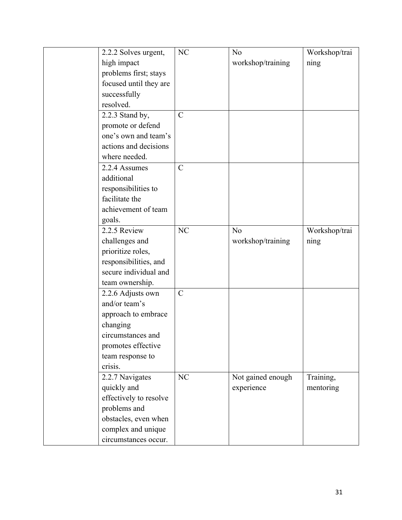| 2.2.2 Solves urgent,   | NC            | No                | Workshop/trai |
|------------------------|---------------|-------------------|---------------|
| high impact            |               | workshop/training | ning          |
| problems first; stays  |               |                   |               |
| focused until they are |               |                   |               |
| successfully           |               |                   |               |
| resolved.              |               |                   |               |
| 2.2.3 Stand by,        | $\mathcal{C}$ |                   |               |
| promote or defend      |               |                   |               |
| one's own and team's   |               |                   |               |
| actions and decisions  |               |                   |               |
| where needed.          |               |                   |               |
| 2.2.4 Assumes          | $\mathbf C$   |                   |               |
| additional             |               |                   |               |
| responsibilities to    |               |                   |               |
| facilitate the         |               |                   |               |
| achievement of team    |               |                   |               |
| goals.                 |               |                   |               |
| 2.2.5 Review           | <b>NC</b>     | N <sub>o</sub>    | Workshop/trai |
| challenges and         |               | workshop/training | ning          |
| prioritize roles,      |               |                   |               |
| responsibilities, and  |               |                   |               |
| secure individual and  |               |                   |               |
| team ownership.        |               |                   |               |
| 2.2.6 Adjusts own      | $\mathbf C$   |                   |               |
| and/or team's          |               |                   |               |
| approach to embrace    |               |                   |               |
| changing               |               |                   |               |
| circumstances and      |               |                   |               |
| promotes effective     |               |                   |               |
| team response to       |               |                   |               |
| crisis.                |               |                   |               |
| 2.2.7 Navigates        | NC            | Not gained enough | Training,     |
| quickly and            |               | experience        | mentoring     |
| effectively to resolve |               |                   |               |
| problems and           |               |                   |               |
| obstacles, even when   |               |                   |               |
| complex and unique     |               |                   |               |
| circumstances occur.   |               |                   |               |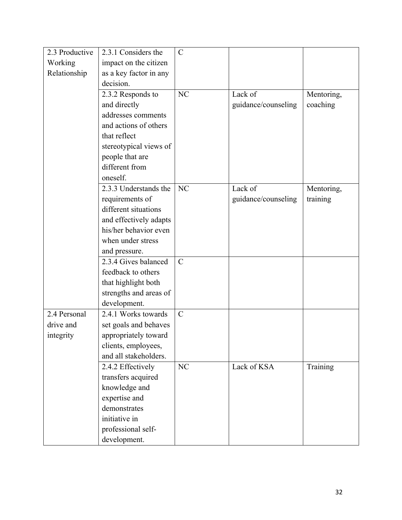| 2.3 Productive | 2.3.1 Considers the    | $\mathcal{C}$ |                     |            |
|----------------|------------------------|---------------|---------------------|------------|
| Working        | impact on the citizen  |               |                     |            |
| Relationship   | as a key factor in any |               |                     |            |
|                | decision.              |               |                     |            |
|                | 2.3.2 Responds to      | <b>NC</b>     | Lack of             | Mentoring, |
|                | and directly           |               | guidance/counseling | coaching   |
|                | addresses comments     |               |                     |            |
|                | and actions of others  |               |                     |            |
|                | that reflect           |               |                     |            |
|                | stereotypical views of |               |                     |            |
|                | people that are        |               |                     |            |
|                | different from         |               |                     |            |
|                | oneself.               |               |                     |            |
|                | 2.3.3 Understands the  | NC            | Lack of             | Mentoring, |
|                | requirements of        |               | guidance/counseling | training   |
|                | different situations   |               |                     |            |
|                | and effectively adapts |               |                     |            |
|                | his/her behavior even  |               |                     |            |
|                | when under stress      |               |                     |            |
|                | and pressure.          |               |                     |            |
|                | 2.3.4 Gives balanced   | $\mathcal{C}$ |                     |            |
|                | feedback to others     |               |                     |            |
|                | that highlight both    |               |                     |            |
|                | strengths and areas of |               |                     |            |
|                | development.           |               |                     |            |
| 2.4 Personal   | 2.4.1 Works towards    | $\mathbf C$   |                     |            |
| drive and      | set goals and behaves  |               |                     |            |
| integrity      | appropriately toward   |               |                     |            |
|                | clients, employees,    |               |                     |            |
|                | and all stakeholders.  |               |                     |            |
|                | 2.4.2 Effectively      | NC            | Lack of KSA         | Training   |
|                | transfers acquired     |               |                     |            |
|                | knowledge and          |               |                     |            |
|                | expertise and          |               |                     |            |
|                | demonstrates           |               |                     |            |
|                | initiative in          |               |                     |            |
|                | professional self-     |               |                     |            |
|                | development.           |               |                     |            |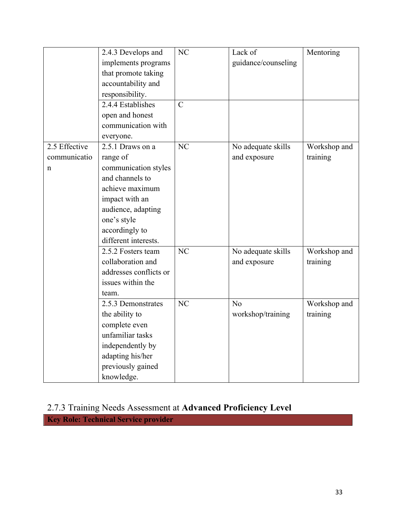|               | 2.4.3 Develops and     | NC            | Lack of             | Mentoring    |
|---------------|------------------------|---------------|---------------------|--------------|
|               | implements programs    |               | guidance/counseling |              |
|               | that promote taking    |               |                     |              |
|               | accountability and     |               |                     |              |
|               | responsibility.        |               |                     |              |
|               | 2.4.4 Establishes      | $\mathcal{C}$ |                     |              |
|               | open and honest        |               |                     |              |
|               | communication with     |               |                     |              |
|               | everyone.              |               |                     |              |
| 2.5 Effective | 2.5.1 Draws on a       | NC            | No adequate skills  | Workshop and |
| communicatio  | range of               |               | and exposure        | training     |
| n             | communication styles   |               |                     |              |
|               | and channels to        |               |                     |              |
|               | achieve maximum        |               |                     |              |
|               | impact with an         |               |                     |              |
|               | audience, adapting     |               |                     |              |
|               | one's style            |               |                     |              |
|               | accordingly to         |               |                     |              |
|               | different interests.   |               |                     |              |
|               | 2.5.2 Fosters team     | NC            | No adequate skills  | Workshop and |
|               | collaboration and      |               | and exposure        | training     |
|               | addresses conflicts or |               |                     |              |
|               | issues within the      |               |                     |              |
|               | team.                  |               |                     |              |
|               | 2.5.3 Demonstrates     | NC            | N <sub>o</sub>      | Workshop and |
|               | the ability to         |               | workshop/training   | training     |
|               | complete even          |               |                     |              |
|               | unfamiliar tasks       |               |                     |              |
|               | independently by       |               |                     |              |
|               | adapting his/her       |               |                     |              |
|               | previously gained      |               |                     |              |
|               | knowledge.             |               |                     |              |

### 2.7.3 Training Needs Assessment at **Advanced Proficiency Level**

**Key Role: Technical Service provider**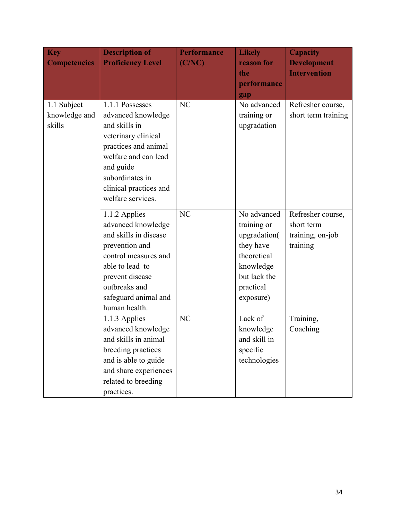| <b>Key</b><br><b>Competencies</b>      | <b>Description of</b><br><b>Proficiency Level</b>                                                                                                                                                            | <b>Performance</b><br>(C/NC) | <b>Likely</b><br>reason for<br>the<br>performance                                                                             | <b>Capacity</b><br><b>Development</b><br><b>Intervention</b>    |
|----------------------------------------|--------------------------------------------------------------------------------------------------------------------------------------------------------------------------------------------------------------|------------------------------|-------------------------------------------------------------------------------------------------------------------------------|-----------------------------------------------------------------|
| 1.1 Subject<br>knowledge and<br>skills | 1.1.1 Possesses<br>advanced knowledge<br>and skills in<br>veterinary clinical<br>practices and animal<br>welfare and can lead<br>and guide<br>subordinates in<br>clinical practices and<br>welfare services. | NC                           | gap<br>No advanced<br>training or<br>upgradation                                                                              | Refresher course,<br>short term training                        |
|                                        | 1.1.2 Applies<br>advanced knowledge<br>and skills in disease<br>prevention and<br>control measures and<br>able to lead to<br>prevent disease<br>outbreaks and<br>safeguard animal and<br>human health.       | NC                           | No advanced<br>training or<br>upgradation(<br>they have<br>theoretical<br>knowledge<br>but lack the<br>practical<br>exposure) | Refresher course,<br>short term<br>training, on-job<br>training |
|                                        | 1.1.3 Applies<br>advanced knowledge<br>and skills in animal<br>breeding practices<br>and is able to guide<br>and share experiences<br>related to breeding<br>practices.                                      | NC                           | Lack of<br>knowledge<br>and skill in<br>specific<br>technologies                                                              | Training,<br>Coaching                                           |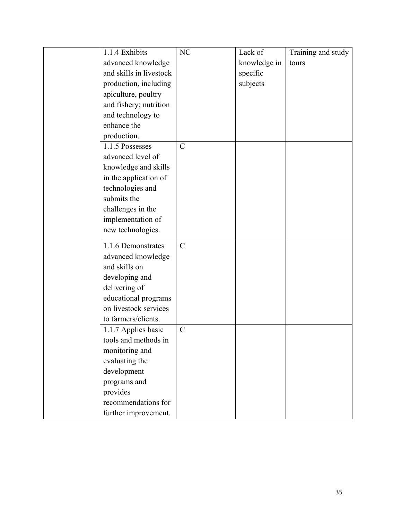| 1.1.4 Exhibits          | NC            | Lack of      | Training and study |
|-------------------------|---------------|--------------|--------------------|
| advanced knowledge      |               | knowledge in | tours              |
| and skills in livestock |               | specific     |                    |
| production, including   |               | subjects     |                    |
| apiculture, poultry     |               |              |                    |
| and fishery; nutrition  |               |              |                    |
| and technology to       |               |              |                    |
| enhance the             |               |              |                    |
| production.             |               |              |                    |
| 1.1.5 Possesses         | $\mathcal{C}$ |              |                    |
| advanced level of       |               |              |                    |
| knowledge and skills    |               |              |                    |
| in the application of   |               |              |                    |
| technologies and        |               |              |                    |
| submits the             |               |              |                    |
| challenges in the       |               |              |                    |
| implementation of       |               |              |                    |
| new technologies.       |               |              |                    |
|                         |               |              |                    |
| 1.1.6 Demonstrates      | $\mathbf C$   |              |                    |
| advanced knowledge      |               |              |                    |
| and skills on           |               |              |                    |
| developing and          |               |              |                    |
| delivering of           |               |              |                    |
| educational programs    |               |              |                    |
| on livestock services   |               |              |                    |
| to farmers/clients.     |               |              |                    |
| 1.1.7 Applies basic     | $\mathbf C$   |              |                    |
| tools and methods in    |               |              |                    |
| monitoring and          |               |              |                    |
| evaluating the          |               |              |                    |
| development             |               |              |                    |
| programs and            |               |              |                    |
| provides                |               |              |                    |
| recommendations for     |               |              |                    |
| further improvement.    |               |              |                    |
|                         |               |              |                    |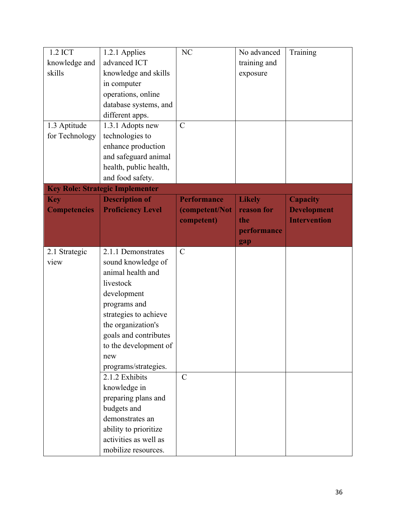| 1.2 ICT             | 1.2.1 Applies                          | NC                 | No advanced   | Training            |
|---------------------|----------------------------------------|--------------------|---------------|---------------------|
| knowledge and       | advanced ICT                           |                    | training and  |                     |
| skills              | knowledge and skills                   |                    | exposure      |                     |
|                     | in computer                            |                    |               |                     |
|                     | operations, online                     |                    |               |                     |
|                     | database systems, and                  |                    |               |                     |
|                     | different apps.                        |                    |               |                     |
| 1.3 Aptitude        | 1.3.1 Adopts new                       | $\mathbf C$        |               |                     |
| for Technology      | technologies to                        |                    |               |                     |
|                     | enhance production                     |                    |               |                     |
|                     | and safeguard animal                   |                    |               |                     |
|                     | health, public health,                 |                    |               |                     |
|                     | and food safety.                       |                    |               |                     |
|                     | <b>Key Role: Strategic Implementer</b> |                    |               |                     |
| <b>Key</b>          | <b>Description of</b>                  | <b>Performance</b> | <b>Likely</b> | <b>Capacity</b>     |
|                     | <b>Proficiency Level</b>               | (competent/Not     | reason for    | <b>Development</b>  |
| <b>Competencies</b> |                                        |                    | the           | <b>Intervention</b> |
|                     |                                        | competent)         |               |                     |
|                     |                                        |                    | performance   |                     |
|                     | 2.1.1 Demonstrates                     | $\mathcal{C}$      | gap           |                     |
| 2.1 Strategic       |                                        |                    |               |                     |
| view                | sound knowledge of                     |                    |               |                     |
|                     | animal health and                      |                    |               |                     |
|                     | livestock                              |                    |               |                     |
|                     | development                            |                    |               |                     |
|                     | programs and                           |                    |               |                     |
|                     | strategies to achieve                  |                    |               |                     |
|                     | the organization's                     |                    |               |                     |
|                     | goals and contributes                  |                    |               |                     |
|                     | to the development of                  |                    |               |                     |
|                     | new                                    |                    |               |                     |
|                     | programs/strategies.                   |                    |               |                     |
|                     | 2.1.2 Exhibits                         | $\mathcal{C}$      |               |                     |
|                     | knowledge in                           |                    |               |                     |
|                     | preparing plans and                    |                    |               |                     |
|                     | budgets and                            |                    |               |                     |
|                     | demonstrates an                        |                    |               |                     |
|                     | ability to prioritize                  |                    |               |                     |
|                     | activities as well as                  |                    |               |                     |
|                     | mobilize resources.                    |                    |               |                     |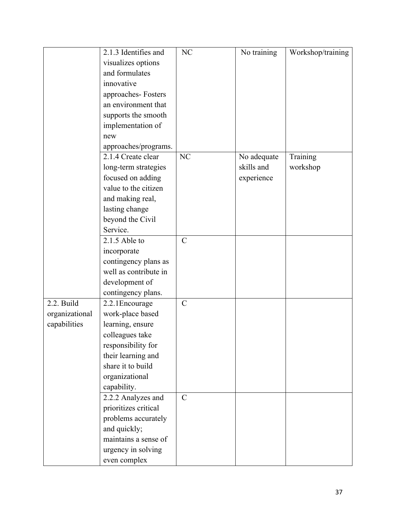|                | 2.1.3 Identifies and  | NC            | No training | Workshop/training |
|----------------|-----------------------|---------------|-------------|-------------------|
|                | visualizes options    |               |             |                   |
|                | and formulates        |               |             |                   |
|                | innovative            |               |             |                   |
|                | approaches-Fosters    |               |             |                   |
|                | an environment that   |               |             |                   |
|                | supports the smooth   |               |             |                   |
|                | implementation of     |               |             |                   |
|                | new                   |               |             |                   |
|                | approaches/programs.  |               |             |                   |
|                | 2.1.4 Create clear    | NC            | No adequate | Training          |
|                | long-term strategies  |               | skills and  | workshop          |
|                | focused on adding     |               | experience  |                   |
|                | value to the citizen  |               |             |                   |
|                | and making real,      |               |             |                   |
|                | lasting change        |               |             |                   |
|                | beyond the Civil      |               |             |                   |
|                | Service.              |               |             |                   |
|                | $2.1.5$ Able to       | $\mathcal{C}$ |             |                   |
|                | incorporate           |               |             |                   |
|                | contingency plans as  |               |             |                   |
|                | well as contribute in |               |             |                   |
|                | development of        |               |             |                   |
|                | contingency plans.    |               |             |                   |
| 2.2. Build     | 2.2.1 Encourage       | $\mathbf C$   |             |                   |
| organizational | work-place based      |               |             |                   |
| capabilities   | learning, ensure      |               |             |                   |
|                | colleagues take       |               |             |                   |
|                | responsibility for    |               |             |                   |
|                | their learning and    |               |             |                   |
|                | share it to build     |               |             |                   |
|                | organizational        |               |             |                   |
|                | capability.           |               |             |                   |
|                | 2.2.2 Analyzes and    | $\mathcal{C}$ |             |                   |
|                | prioritizes critical  |               |             |                   |
|                | problems accurately   |               |             |                   |
|                | and quickly;          |               |             |                   |
|                | maintains a sense of  |               |             |                   |
|                | urgency in solving    |               |             |                   |
|                | even complex          |               |             |                   |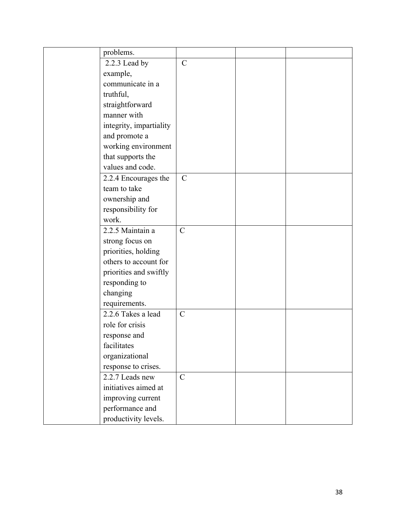| problems.               |                |  |
|-------------------------|----------------|--|
| 2.2.3 Lead by           | $\mathbf C$    |  |
| example,                |                |  |
| communicate in a        |                |  |
| truthful,               |                |  |
| straightforward         |                |  |
| manner with             |                |  |
| integrity, impartiality |                |  |
| and promote a           |                |  |
| working environment     |                |  |
| that supports the       |                |  |
| values and code.        |                |  |
| 2.2.4 Encourages the    | $\mathcal{C}$  |  |
| team to take            |                |  |
| ownership and           |                |  |
| responsibility for      |                |  |
| work.                   |                |  |
| 2.2.5 Maintain a        | $\overline{C}$ |  |
| strong focus on         |                |  |
| priorities, holding     |                |  |
| others to account for   |                |  |
| priorities and swiftly  |                |  |
| responding to           |                |  |
| changing                |                |  |
| requirements.           |                |  |
| 2.2.6 Takes a lead      | $\mathbf C$    |  |
| role for crisis         |                |  |
| response and            |                |  |
| facilitates             |                |  |
| organizational          |                |  |
| response to crises.     |                |  |
| 2.2.7 Leads new         | $\mathsf{C}$   |  |
| initiatives aimed at    |                |  |
| improving current       |                |  |
| performance and         |                |  |
| productivity levels.    |                |  |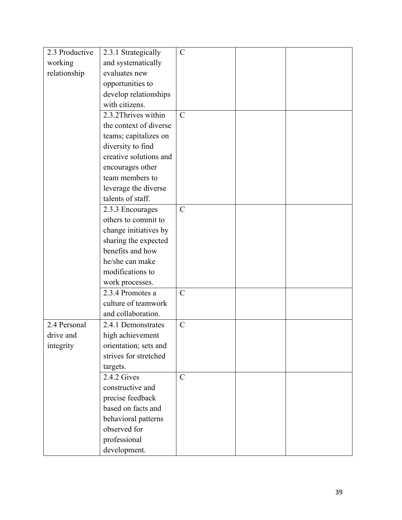| 2.3 Productive | 2.3.1 Strategically    | $\mathcal{C}$ |  |
|----------------|------------------------|---------------|--|
| working        | and systematically     |               |  |
| relationship   | evaluates new          |               |  |
|                | opportunities to       |               |  |
|                | develop relationships  |               |  |
|                | with citizens.         |               |  |
|                | 2.3.2 Thrives within   | $\mathbf C$   |  |
|                | the context of diverse |               |  |
|                | teams; capitalizes on  |               |  |
|                | diversity to find      |               |  |
|                | creative solutions and |               |  |
|                | encourages other       |               |  |
|                | team members to        |               |  |
|                | leverage the diverse   |               |  |
|                | talents of staff.      |               |  |
|                | 2.3.3 Encourages       | $\mathcal{C}$ |  |
|                | others to commit to    |               |  |
|                | change initiatives by  |               |  |
|                | sharing the expected   |               |  |
|                | benefits and how       |               |  |
|                | he/she can make        |               |  |
|                | modifications to       |               |  |
|                | work processes.        |               |  |
|                | 2.3.4 Promotes a       | $\mathbf C$   |  |
|                | culture of teamwork    |               |  |
|                | and collaboration.     |               |  |
| 2.4 Personal   | 2.4.1 Demonstrates     | $\mathbf C$   |  |
| drive and      | high achievement       |               |  |
| integrity      | orientation; sets and  |               |  |
|                | strives for stretched  |               |  |
|                | targets.               |               |  |
|                | 2.4.2 Gives            | $\mathsf{C}$  |  |
|                | constructive and       |               |  |
|                | precise feedback       |               |  |
|                | based on facts and     |               |  |
|                | behavioral patterns    |               |  |
|                | observed for           |               |  |
|                | professional           |               |  |
|                | development.           |               |  |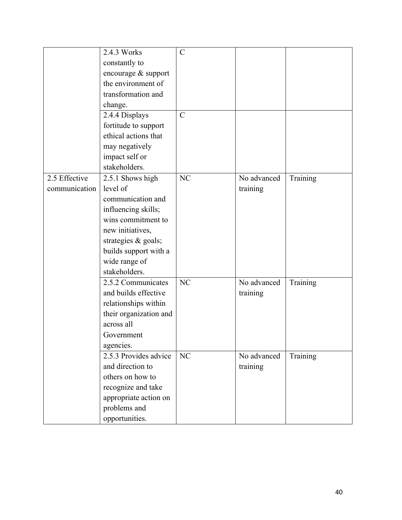|               | 2.4.3 Works            | $\mathsf{C}$   |             |          |
|---------------|------------------------|----------------|-------------|----------|
|               | constantly to          |                |             |          |
|               | encourage & support    |                |             |          |
|               | the environment of     |                |             |          |
|               | transformation and     |                |             |          |
|               | change.                |                |             |          |
|               | 2.4.4 Displays         | $\overline{C}$ |             |          |
|               | fortitude to support   |                |             |          |
|               | ethical actions that   |                |             |          |
|               | may negatively         |                |             |          |
|               | impact self or         |                |             |          |
|               | stakeholders.          |                |             |          |
| 2.5 Effective | 2.5.1 Shows high       | NC             | No advanced | Training |
| communication | level of               |                | training    |          |
|               | communication and      |                |             |          |
|               | influencing skills;    |                |             |          |
|               | wins commitment to     |                |             |          |
|               | new initiatives,       |                |             |          |
|               | strategies & goals;    |                |             |          |
|               | builds support with a  |                |             |          |
|               | wide range of          |                |             |          |
|               | stakeholders.          |                |             |          |
|               | 2.5.2 Communicates     | NC             | No advanced | Training |
|               | and builds effective   |                | training    |          |
|               | relationships within   |                |             |          |
|               | their organization and |                |             |          |
|               | across all             |                |             |          |
|               | Government             |                |             |          |
|               | agencies.              |                |             |          |
|               | 2.5.3 Provides advice  | NC             | No advanced | Training |
|               | and direction to       |                | training    |          |
|               | others on how to       |                |             |          |
|               | recognize and take     |                |             |          |
|               | appropriate action on  |                |             |          |
|               | problems and           |                |             |          |
|               | opportunities.         |                |             |          |
|               |                        |                |             |          |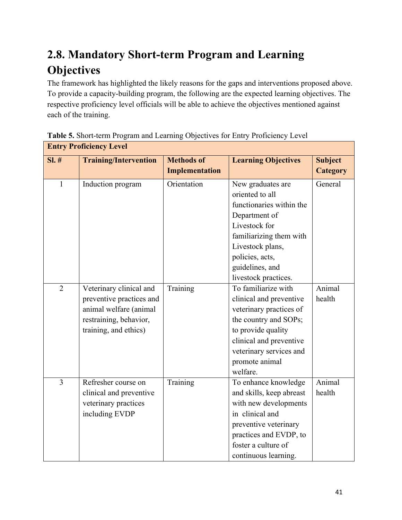## **2.8. Mandatory Short-term Program and Learning Objectives**

The framework has highlighted the likely reasons for the gaps and interventions proposed above. To provide a capacity-building program, the following are the expected learning objectives. The respective proficiency level officials will be able to achieve the objectives mentioned against each of the training.

|                | питу гтонские дется          |                   |                            |                |
|----------------|------------------------------|-------------------|----------------------------|----------------|
| SI.#           | <b>Training/Intervention</b> | <b>Methods of</b> | <b>Learning Objectives</b> | <b>Subject</b> |
|                |                              | Implementation    |                            | Category       |
| $\mathbf{1}$   | Induction program            | Orientation       | New graduates are          | General        |
|                |                              |                   | oriented to all            |                |
|                |                              |                   | functionaries within the   |                |
|                |                              |                   | Department of              |                |
|                |                              |                   | Livestock for              |                |
|                |                              |                   | familiarizing them with    |                |
|                |                              |                   | Livestock plans,           |                |
|                |                              |                   | policies, acts,            |                |
|                |                              |                   | guidelines, and            |                |
|                |                              |                   | livestock practices.       |                |
| $\overline{2}$ | Veterinary clinical and      | Training          | To familiarize with        | Animal         |
|                | preventive practices and     |                   | clinical and preventive    | health         |
|                | animal welfare (animal       |                   | veterinary practices of    |                |
|                | restraining, behavior,       |                   | the country and SOPs;      |                |
|                | training, and ethics)        |                   | to provide quality         |                |
|                |                              |                   | clinical and preventive    |                |
|                |                              |                   | veterinary services and    |                |
|                |                              |                   | promote animal             |                |
|                |                              |                   | welfare.                   |                |
| $\overline{3}$ | Refresher course on          | Training          | To enhance knowledge       | Animal         |
|                | clinical and preventive      |                   | and skills, keep abreast   | health         |
|                | veterinary practices         |                   | with new developments      |                |
|                | including EVDP               |                   | in clinical and            |                |
|                |                              |                   | preventive veterinary      |                |
|                |                              |                   | practices and EVDP, to     |                |
|                |                              |                   | foster a culture of        |                |
|                |                              |                   | continuous learning.       |                |

### **Table 5.** Short-term Program and Learning Objectives for Entry Proficiency Level **Entry Proficiency Level**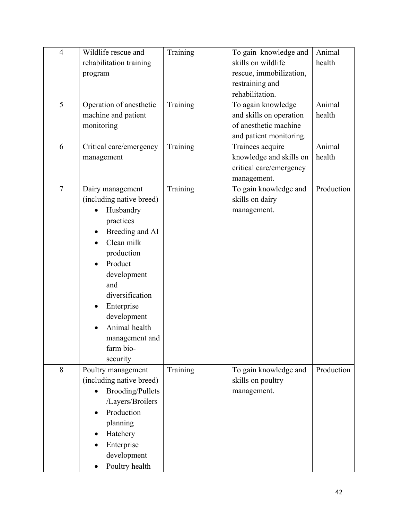| $\overline{4}$ | Wildlife rescue and      | Training | To gain knowledge and   | Animal     |
|----------------|--------------------------|----------|-------------------------|------------|
|                | rehabilitation training  |          | skills on wildlife      | health     |
|                | program                  |          | rescue, immobilization, |            |
|                |                          |          | restraining and         |            |
|                |                          |          | rehabilitation.         |            |
| 5              | Operation of anesthetic  | Training | To again knowledge      | Animal     |
|                | machine and patient      |          | and skills on operation | health     |
|                | monitoring               |          | of anesthetic machine   |            |
|                |                          |          | and patient monitoring. |            |
| 6              | Critical care/emergency  | Training | Trainees acquire        | Animal     |
|                | management               |          | knowledge and skills on | health     |
|                |                          |          | critical care/emergency |            |
|                |                          |          | management.             |            |
| $\overline{7}$ | Dairy management         | Training | To gain knowledge and   | Production |
|                | (including native breed) |          | skills on dairy         |            |
|                | Husbandry                |          | management.             |            |
|                | practices                |          |                         |            |
|                | Breeding and AI          |          |                         |            |
|                | Clean milk               |          |                         |            |
|                | production               |          |                         |            |
|                | Product                  |          |                         |            |
|                | development              |          |                         |            |
|                | and                      |          |                         |            |
|                | diversification          |          |                         |            |
|                | Enterprise               |          |                         |            |
|                | development              |          |                         |            |
|                | Animal health            |          |                         |            |
|                | management and           |          |                         |            |
|                | farm bio-                |          |                         |            |
|                | security                 |          |                         |            |
| 8              | Poultry management       | Training | To gain knowledge and   | Production |
|                | (including native breed) |          | skills on poultry       |            |
|                | <b>Brooding/Pullets</b>  |          | management.             |            |
|                | /Layers/Broilers         |          |                         |            |
|                | Production               |          |                         |            |
|                | planning                 |          |                         |            |
|                | Hatchery                 |          |                         |            |
|                | Enterprise               |          |                         |            |
|                | development              |          |                         |            |
|                | Poultry health           |          |                         |            |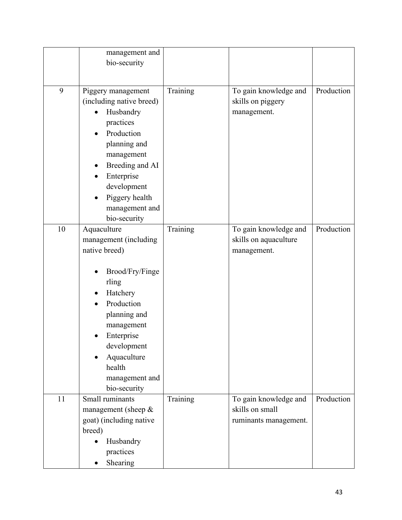|    | management and           |          |                       |            |
|----|--------------------------|----------|-----------------------|------------|
|    | bio-security             |          |                       |            |
|    |                          |          |                       |            |
|    |                          |          |                       |            |
| 9  | Piggery management       | Training | To gain knowledge and | Production |
|    | (including native breed) |          | skills on piggery     |            |
|    | Husbandry                |          | management.           |            |
|    | practices                |          |                       |            |
|    | Production               |          |                       |            |
|    | planning and             |          |                       |            |
|    | management               |          |                       |            |
|    | Breeding and AI          |          |                       |            |
|    | Enterprise               |          |                       |            |
|    | development              |          |                       |            |
|    | Piggery health           |          |                       |            |
|    | management and           |          |                       |            |
|    | bio-security             |          |                       |            |
| 10 | Aquaculture              | Training | To gain knowledge and | Production |
|    | management (including    |          | skills on aquaculture |            |
|    | native breed)            |          | management.           |            |
|    |                          |          |                       |            |
|    | Brood/Fry/Finge          |          |                       |            |
|    | rling                    |          |                       |            |
|    | Hatchery                 |          |                       |            |
|    | Production               |          |                       |            |
|    |                          |          |                       |            |
|    | planning and             |          |                       |            |
|    | management               |          |                       |            |
|    | Enterprise               |          |                       |            |
|    | development              |          |                       |            |
|    | Aquaculture<br>$\bullet$ |          |                       |            |
|    | health                   |          |                       |            |
|    | management and           |          |                       |            |
|    | bio-security             |          |                       |            |
| 11 | Small ruminants          | Training | To gain knowledge and | Production |
|    | management (sheep $\&$   |          | skills on small       |            |
|    | goat) (including native  |          | ruminants management. |            |
|    | breed)                   |          |                       |            |
|    | Husbandry                |          |                       |            |
|    | practices                |          |                       |            |
|    | Shearing                 |          |                       |            |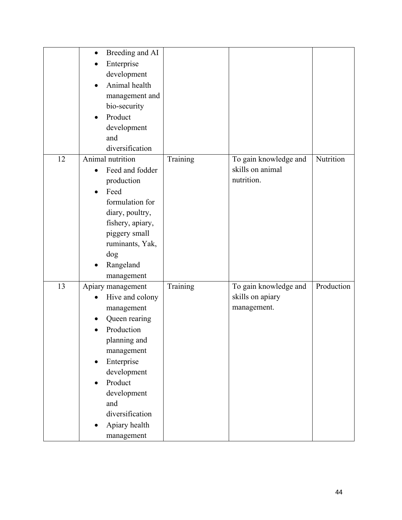|    | Breeding and AI<br>$\bullet$ |          |                       |            |
|----|------------------------------|----------|-----------------------|------------|
|    | Enterprise                   |          |                       |            |
|    | development                  |          |                       |            |
|    | Animal health<br>$\bullet$   |          |                       |            |
|    | management and               |          |                       |            |
|    | bio-security                 |          |                       |            |
|    | Product<br>$\bullet$         |          |                       |            |
|    | development                  |          |                       |            |
|    | and                          |          |                       |            |
|    | diversification              |          |                       |            |
| 12 | Animal nutrition             | Training | To gain knowledge and | Nutrition  |
|    | Feed and fodder<br>$\bullet$ |          | skills on animal      |            |
|    | production                   |          | nutrition.            |            |
|    | Feed                         |          |                       |            |
|    | formulation for              |          |                       |            |
|    | diary, poultry,              |          |                       |            |
|    | fishery, apiary,             |          |                       |            |
|    | piggery small                |          |                       |            |
|    | ruminants, Yak,              |          |                       |            |
|    | dog                          |          |                       |            |
|    | Rangeland                    |          |                       |            |
|    | management                   |          |                       |            |
| 13 | Apiary management            | Training | To gain knowledge and | Production |
|    | Hive and colony<br>$\bullet$ |          | skills on apiary      |            |
|    | management                   |          | management.           |            |
|    | Queen rearing                |          |                       |            |
|    | Production                   |          |                       |            |
|    | planning and                 |          |                       |            |
|    | management                   |          |                       |            |
|    | Enterprise<br>$\bullet$      |          |                       |            |
|    | development                  |          |                       |            |
|    | Product                      |          |                       |            |
|    | $\bullet$                    |          |                       |            |
|    | development<br>and           |          |                       |            |
|    | diversification              |          |                       |            |
|    |                              |          |                       |            |
|    | Apiary health                |          |                       |            |
|    | management                   |          |                       |            |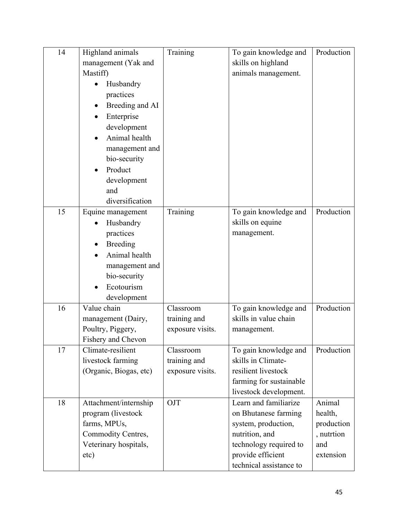| 14 | Highland animals                       | Training                         | To gain knowledge and                       | Production |
|----|----------------------------------------|----------------------------------|---------------------------------------------|------------|
|    | management (Yak and                    |                                  | skills on highland                          |            |
|    | Mastiff)                               |                                  | animals management.                         |            |
|    | Husbandry                              |                                  |                                             |            |
|    | practices                              |                                  |                                             |            |
|    | Breeding and AI                        |                                  |                                             |            |
|    | Enterprise                             |                                  |                                             |            |
|    | development                            |                                  |                                             |            |
|    | Animal health                          |                                  |                                             |            |
|    | management and                         |                                  |                                             |            |
|    | bio-security                           |                                  |                                             |            |
|    | Product                                |                                  |                                             |            |
|    | development                            |                                  |                                             |            |
|    | and                                    |                                  |                                             |            |
|    | diversification                        |                                  |                                             |            |
| 15 | Equine management                      | Training                         | To gain knowledge and                       | Production |
|    | Husbandry                              |                                  | skills on equine                            |            |
|    | practices                              |                                  | management.                                 |            |
|    | <b>Breeding</b>                        |                                  |                                             |            |
|    | Animal health                          |                                  |                                             |            |
|    | management and                         |                                  |                                             |            |
|    | bio-security                           |                                  |                                             |            |
|    | Ecotourism                             |                                  |                                             |            |
|    | development                            |                                  |                                             |            |
| 16 | Value chain                            | Classroom                        | To gain knowledge and                       | Production |
|    | management (Dairy,                     | training and                     | skills in value chain                       |            |
|    | Poultry, Piggery,                      | exposure visits.                 | management.                                 |            |
|    | Fishery and Chevon                     |                                  |                                             |            |
| 17 | Climate-resilient<br>livestock farming | Classroom                        | To gain knowledge and<br>skills in Climate- | Production |
|    | (Organic, Biogas, etc)                 | training and<br>exposure visits. | resilient livestock                         |            |
|    |                                        |                                  | farming for sustainable                     |            |
|    |                                        |                                  | livestock development.                      |            |
| 18 | Attachment/internship                  | OJT                              | Learn and familiarize                       | Animal     |
|    | program (livestock                     |                                  | on Bhutanese farming                        | health,    |
|    | farms, MPUs,                           |                                  | system, production,                         | production |
|    | Commodity Centres,                     |                                  | nutrition, and                              | , nutrtion |
|    | Veterinary hospitals,                  |                                  | technology required to                      | and        |
|    | etc)                                   |                                  | provide efficient                           | extension  |
|    |                                        |                                  | technical assistance to                     |            |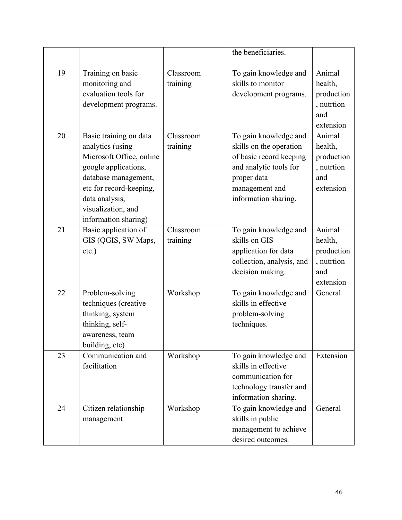|    |                                        |           | the beneficiaries.                            |                  |
|----|----------------------------------------|-----------|-----------------------------------------------|------------------|
|    |                                        |           |                                               |                  |
| 19 | Training on basic                      | Classroom | To gain knowledge and                         | Animal           |
|    | monitoring and<br>evaluation tools for | training  | skills to monitor                             | health,          |
|    |                                        |           | development programs.                         | production       |
|    | development programs.                  |           |                                               | , nutrtion       |
|    |                                        |           |                                               | and<br>extension |
| 20 | Basic training on data                 | Classroom | To gain knowledge and                         | Animal           |
|    | analytics (using                       | training  | skills on the operation                       | health,          |
|    | Microsoft Office, online               |           | of basic record keeping                       | production       |
|    | google applications,                   |           | and analytic tools for                        | , nutrtion       |
|    | database management,                   |           | proper data                                   | and              |
|    | etc for record-keeping,                |           | management and                                | extension        |
|    | data analysis,                         |           | information sharing.                          |                  |
|    | visualization, and                     |           |                                               |                  |
|    | information sharing)                   |           |                                               |                  |
| 21 | Basic application of                   | Classroom | To gain knowledge and                         | Animal           |
|    | GIS (QGIS, SW Maps,                    | training  | skills on GIS                                 | health,          |
|    | $etc.$ )                               |           | application for data                          | production       |
|    |                                        |           | collection, analysis, and                     | , nutrtion       |
|    |                                        |           | decision making.                              | and              |
|    |                                        |           |                                               | extension        |
| 22 | Problem-solving                        | Workshop  | To gain knowledge and                         | General          |
|    | techniques (creative                   |           | skills in effective                           |                  |
|    | thinking, system                       |           | problem-solving                               |                  |
|    | thinking, self-                        |           | techniques.                                   |                  |
|    | awareness, team                        |           |                                               |                  |
|    | building, etc)                         |           |                                               |                  |
| 23 | Communication and                      | Workshop  | To gain knowledge and                         | Extension        |
|    | facilitation                           |           | skills in effective                           |                  |
|    |                                        |           | communication for                             |                  |
|    |                                        |           | technology transfer and                       |                  |
| 24 | Citizen relationship                   | Workshop  | information sharing.<br>To gain knowledge and | General          |
|    |                                        |           | skills in public                              |                  |
|    | management                             |           | management to achieve                         |                  |
|    |                                        |           | desired outcomes.                             |                  |
|    |                                        |           |                                               |                  |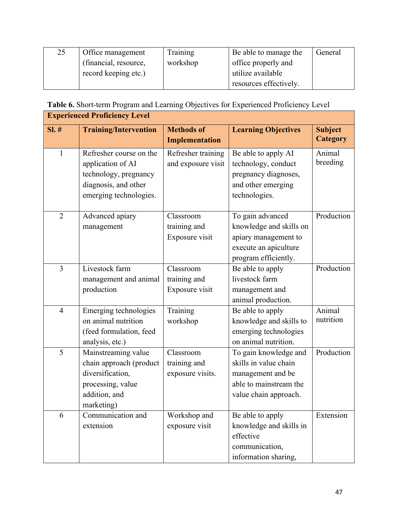| 25 | Office management     | Training | Be able to manage the  | General |
|----|-----------------------|----------|------------------------|---------|
|    | (financial, resource, | workshop | office properly and    |         |
|    | record keeping etc.)  |          | utilize available      |         |
|    |                       |          | resources effectively. |         |

**Table 6.** Short-term Program and Learning Objectives for Experienced Proficiency Level

|                | <b>Experienced Proficiency Level</b>                                                                                    |                                               |                                                                                                                        |                                   |  |  |
|----------------|-------------------------------------------------------------------------------------------------------------------------|-----------------------------------------------|------------------------------------------------------------------------------------------------------------------------|-----------------------------------|--|--|
| SI.#           | <b>Training/Intervention</b>                                                                                            | <b>Methods of</b><br><b>Implementation</b>    | <b>Learning Objectives</b>                                                                                             | <b>Subject</b><br><b>Category</b> |  |  |
| $\mathbf{1}$   | Refresher course on the<br>application of AI<br>technology, pregnancy<br>diagnosis, and other<br>emerging technologies. | Refresher training<br>and exposure visit      | Be able to apply AI<br>technology, conduct<br>pregnancy diagnoses,<br>and other emerging<br>technologies.              | Animal<br>breeding                |  |  |
| $\overline{2}$ | Advanced apiary<br>management                                                                                           | Classroom<br>training and<br>Exposure visit   | To gain advanced<br>knowledge and skills on<br>apiary management to<br>execute an apiculture<br>program efficiently.   | Production                        |  |  |
| 3              | Livestock farm<br>management and animal<br>production                                                                   | Classroom<br>training and<br>Exposure visit   | Be able to apply<br>livestock farm<br>management and<br>animal production.                                             | Production                        |  |  |
| $\overline{4}$ | Emerging technologies<br>on animal nutrition<br>(feed formulation, feed<br>analysis, etc.)                              | Training<br>workshop                          | Be able to apply<br>knowledge and skills to<br>emerging technologies<br>on animal nutrition.                           | Animal<br>nutrition               |  |  |
| 5              | Mainstreaming value<br>chain approach (product<br>diversification,<br>processing, value<br>addition, and<br>marketing)  | Classroom<br>training and<br>exposure visits. | To gain knowledge and<br>skills in value chain<br>management and be<br>able to mainstream the<br>value chain approach. | Production                        |  |  |
| 6              | Communication and<br>extension                                                                                          | Workshop and<br>exposure visit                | Be able to apply<br>knowledge and skills in<br>effective<br>communication,<br>information sharing,                     | Extension                         |  |  |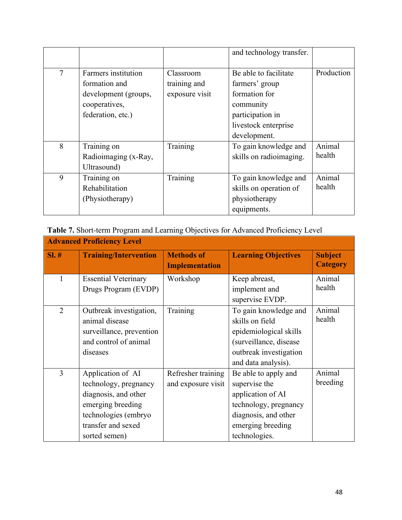|        |                      |                | and technology transfer. |            |
|--------|----------------------|----------------|--------------------------|------------|
|        |                      |                |                          |            |
| $\tau$ | Farmers institution  | Classroom      | Be able to facilitate    | Production |
|        | formation and        | training and   | farmers' group           |            |
|        | development (groups, | exposure visit | formation for            |            |
|        | cooperatives,        |                | community                |            |
|        | federation, etc.)    |                | participation in         |            |
|        |                      |                | livestock enterprise     |            |
|        |                      |                | development.             |            |
| 8      | Training on          | Training       | To gain knowledge and    | Animal     |
|        | Radioimaging (x-Ray, |                | skills on radioimaging.  | health     |
|        | Ultrasound)          |                |                          |            |
| 9      | Training on          | Training       | To gain knowledge and    | Animal     |
|        | Rehabilitation       |                | skills on operation of   | health     |
|        | (Physiotherapy)      |                | physiotherapy            |            |
|        |                      |                | equipments.              |            |

**Table 7.** Short-term Program and Learning Objectives for Advanced Proficiency Level

| <b>Advanced Proficiency Level</b> |                                                                                                                                                        |                                            |                                                                                                                                                   |                                   |  |
|-----------------------------------|--------------------------------------------------------------------------------------------------------------------------------------------------------|--------------------------------------------|---------------------------------------------------------------------------------------------------------------------------------------------------|-----------------------------------|--|
| $SI. \#$                          | <b>Training/Intervention</b>                                                                                                                           | <b>Methods of</b><br><b>Implementation</b> | <b>Learning Objectives</b>                                                                                                                        | <b>Subject</b><br><b>Category</b> |  |
|                                   | <b>Essential Veterinary</b><br>Drugs Program (EVDP)                                                                                                    | Workshop                                   | Keep abreast,<br>implement and<br>supervise EVDP.                                                                                                 | Animal<br>health                  |  |
| $\overline{2}$                    | Outbreak investigation,<br>animal disease<br>surveillance, prevention<br>and control of animal<br>diseases                                             | Training                                   | To gain knowledge and<br>skills on field<br>epidemiological skills<br>(surveillance, disease<br>outbreak investigation<br>and data analysis).     | Animal<br>health                  |  |
| 3                                 | Application of AI<br>technology, pregnancy<br>diagnosis, and other<br>emerging breeding<br>technologies (embryo<br>transfer and sexed<br>sorted semen) | Refresher training<br>and exposure visit   | Be able to apply and<br>supervise the<br>application of AI<br>technology, pregnancy<br>diagnosis, and other<br>emerging breeding<br>technologies. | Animal<br>breeding                |  |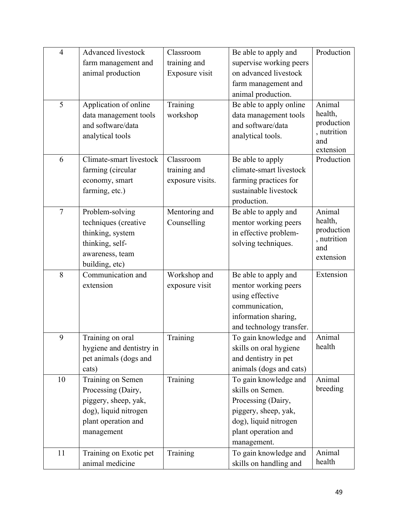| $\overline{4}$ | <b>Advanced livestock</b>                                                                                                                                                                                                                | Classroom            | Be able to apply and                                                                                                                                                                                                                                                                   | Production                             |
|----------------|------------------------------------------------------------------------------------------------------------------------------------------------------------------------------------------------------------------------------------------|----------------------|----------------------------------------------------------------------------------------------------------------------------------------------------------------------------------------------------------------------------------------------------------------------------------------|----------------------------------------|
|                | farm management and                                                                                                                                                                                                                      | training and         | supervise working peers                                                                                                                                                                                                                                                                |                                        |
|                | animal production                                                                                                                                                                                                                        | Exposure visit       | on advanced livestock                                                                                                                                                                                                                                                                  |                                        |
|                |                                                                                                                                                                                                                                          |                      | farm management and                                                                                                                                                                                                                                                                    |                                        |
|                |                                                                                                                                                                                                                                          |                      | animal production.                                                                                                                                                                                                                                                                     |                                        |
| 5              | Application of online                                                                                                                                                                                                                    | Training             | Be able to apply online                                                                                                                                                                                                                                                                | Animal                                 |
|                | data management tools                                                                                                                                                                                                                    | workshop             | data management tools                                                                                                                                                                                                                                                                  | health,                                |
|                | and software/data                                                                                                                                                                                                                        |                      | and software/data                                                                                                                                                                                                                                                                      | production                             |
|                | analytical tools                                                                                                                                                                                                                         |                      | analytical tools.                                                                                                                                                                                                                                                                      | , nutrition<br>and                     |
|                |                                                                                                                                                                                                                                          |                      |                                                                                                                                                                                                                                                                                        | extension                              |
| 6              | Climate-smart livestock                                                                                                                                                                                                                  | Classroom            | Be able to apply                                                                                                                                                                                                                                                                       | Production                             |
|                | farming (circular                                                                                                                                                                                                                        | training and         | climate-smart livestock                                                                                                                                                                                                                                                                |                                        |
|                | economy, smart                                                                                                                                                                                                                           | exposure visits.     | farming practices for                                                                                                                                                                                                                                                                  |                                        |
|                | farming, etc.)                                                                                                                                                                                                                           |                      | sustainable livestock                                                                                                                                                                                                                                                                  |                                        |
|                |                                                                                                                                                                                                                                          |                      | production.                                                                                                                                                                                                                                                                            |                                        |
| $\overline{7}$ | Problem-solving                                                                                                                                                                                                                          | Mentoring and        | Be able to apply and                                                                                                                                                                                                                                                                   | Animal                                 |
|                | techniques (creative                                                                                                                                                                                                                     | Counselling          | mentor working peers                                                                                                                                                                                                                                                                   | health,                                |
|                | thinking, system                                                                                                                                                                                                                         |                      | in effective problem-                                                                                                                                                                                                                                                                  | production                             |
|                | thinking, self-                                                                                                                                                                                                                          |                      | solving techniques.                                                                                                                                                                                                                                                                    | , nutrition<br>and                     |
|                | awareness, team                                                                                                                                                                                                                          |                      |                                                                                                                                                                                                                                                                                        | extension                              |
|                | building, etc)                                                                                                                                                                                                                           |                      |                                                                                                                                                                                                                                                                                        |                                        |
| 8              | Communication and                                                                                                                                                                                                                        | Workshop and         | Be able to apply and                                                                                                                                                                                                                                                                   | Extension                              |
|                | extension                                                                                                                                                                                                                                | exposure visit       | mentor working peers                                                                                                                                                                                                                                                                   |                                        |
|                |                                                                                                                                                                                                                                          |                      | using effective                                                                                                                                                                                                                                                                        |                                        |
|                |                                                                                                                                                                                                                                          |                      | communication,                                                                                                                                                                                                                                                                         |                                        |
|                |                                                                                                                                                                                                                                          |                      | information sharing,                                                                                                                                                                                                                                                                   |                                        |
|                |                                                                                                                                                                                                                                          |                      | and technology transfer.                                                                                                                                                                                                                                                               |                                        |
| 9              | Training on oral                                                                                                                                                                                                                         | Training             | To gain knowledge and                                                                                                                                                                                                                                                                  | Animal                                 |
|                |                                                                                                                                                                                                                                          |                      |                                                                                                                                                                                                                                                                                        |                                        |
|                |                                                                                                                                                                                                                                          |                      |                                                                                                                                                                                                                                                                                        |                                        |
|                |                                                                                                                                                                                                                                          |                      |                                                                                                                                                                                                                                                                                        |                                        |
|                |                                                                                                                                                                                                                                          |                      |                                                                                                                                                                                                                                                                                        |                                        |
|                |                                                                                                                                                                                                                                          |                      |                                                                                                                                                                                                                                                                                        |                                        |
|                |                                                                                                                                                                                                                                          |                      |                                                                                                                                                                                                                                                                                        |                                        |
|                |                                                                                                                                                                                                                                          |                      |                                                                                                                                                                                                                                                                                        |                                        |
|                |                                                                                                                                                                                                                                          |                      |                                                                                                                                                                                                                                                                                        |                                        |
|                |                                                                                                                                                                                                                                          |                      |                                                                                                                                                                                                                                                                                        |                                        |
|                |                                                                                                                                                                                                                                          |                      |                                                                                                                                                                                                                                                                                        |                                        |
|                |                                                                                                                                                                                                                                          |                      |                                                                                                                                                                                                                                                                                        | health                                 |
| 10<br>11       | hygiene and dentistry in<br>pet animals (dogs and<br>cats)<br>Training on Semen<br>Processing (Dairy,<br>piggery, sheep, yak,<br>dog), liquid nitrogen<br>plant operation and<br>management<br>Training on Exotic pet<br>animal medicine | Training<br>Training | skills on oral hygiene<br>and dentistry in pet<br>animals (dogs and cats)<br>To gain knowledge and<br>skills on Semen.<br>Processing (Dairy,<br>piggery, sheep, yak,<br>dog), liquid nitrogen<br>plant operation and<br>management.<br>To gain knowledge and<br>skills on handling and | health<br>Animal<br>breeding<br>Animal |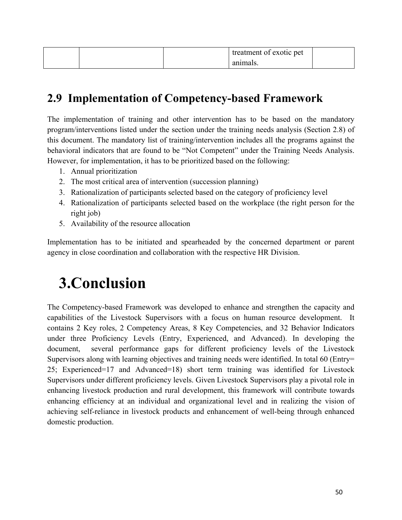|  | treatment of exotic pet |  |
|--|-------------------------|--|
|  | animals.                |  |

## **2.9 Implementation of Competency-based Framework**

The implementation of training and other intervention has to be based on the mandatory program/interventions listed under the section under the training needs analysis (Section 2.8) of this document. The mandatory list of training/intervention includes all the programs against the behavioral indicators that are found to be "Not Competent" under the Training Needs Analysis. However, for implementation, it has to be prioritized based on the following:

- 1. Annual prioritization
- 2. The most critical area of intervention (succession planning)
- 3. Rationalization of participants selected based on the category of proficiency level
- 4. Rationalization of participants selected based on the workplace (the right person for the right job)
- 5. Availability of the resource allocation

Implementation has to be initiated and spearheaded by the concerned department or parent agency in close coordination and collaboration with the respective HR Division.

# **3.Conclusion**

The Competency-based Framework was developed to enhance and strengthen the capacity and capabilities of the Livestock Supervisors with a focus on human resource development. It contains 2 Key roles, 2 Competency Areas, 8 Key Competencies, and 32 Behavior Indicators under three Proficiency Levels (Entry, Experienced, and Advanced). In developing the document, several performance gaps for different proficiency levels of the Livestock Supervisors along with learning objectives and training needs were identified. In total 60 (Entry= 25; Experienced=17 and Advanced=18) short term training was identified for Livestock Supervisors under different proficiency levels. Given Livestock Supervisors play a pivotal role in enhancing livestock production and rural development, this framework will contribute towards enhancing efficiency at an individual and organizational level and in realizing the vision of achieving self-reliance in livestock products and enhancement of well-being through enhanced domestic production.